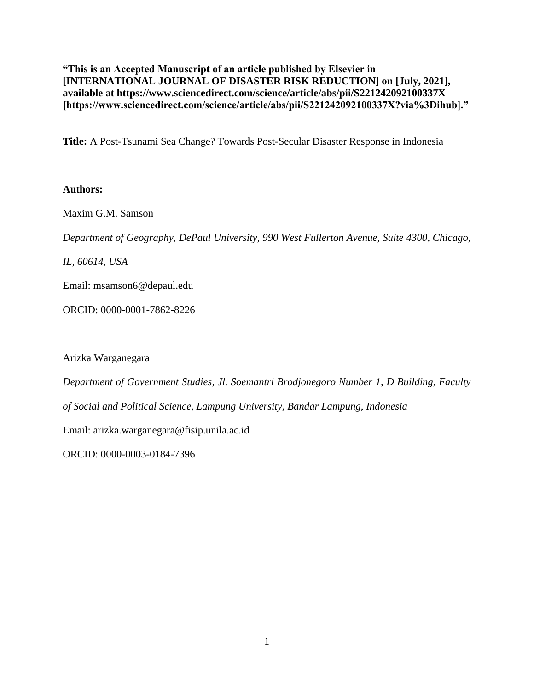**"This is an Accepted Manuscript of an article published by Elsevier in [INTERNATIONAL JOURNAL OF DISASTER RISK REDUCTION] on [July, 2021], available at https://www.sciencedirect.com/science/article/abs/pii/S221242092100337X [https://www.sciencedirect.com/science/article/abs/pii/S221242092100337X?via%3Dihub]."**

**Title:** A Post-Tsunami Sea Change? Towards Post-Secular Disaster Response in Indonesia

# **Authors:**

Maxim G.M. Samson

*Department of Geography, DePaul University, 990 West Fullerton Avenue, Suite 4300, Chicago,* 

*IL, 60614, USA*

Email: msamson6@depaul.edu

ORCID: 0000-0001-7862-8226

Arizka Warganegara

*Department of Government Studies, Jl. Soemantri Brodjonegoro Number 1, D Building, Faculty of Social and Political Science, Lampung University, Bandar Lampung, Indonesia*

Email: arizka.warganegara@fisip.unila.ac.id

ORCID: 0000-0003-0184-7396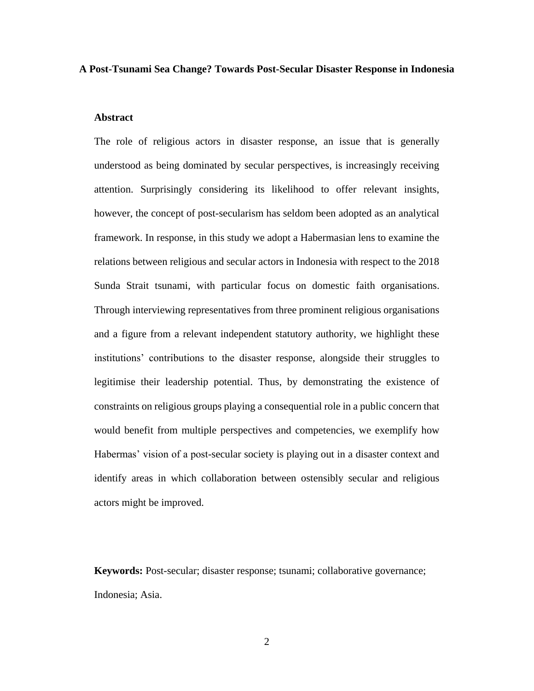## **A Post-Tsunami Sea Change? Towards Post-Secular Disaster Response in Indonesia**

# **Abstract**

The role of religious actors in disaster response, an issue that is generally understood as being dominated by secular perspectives, is increasingly receiving attention. Surprisingly considering its likelihood to offer relevant insights, however, the concept of post-secularism has seldom been adopted as an analytical framework. In response, in this study we adopt a Habermasian lens to examine the relations between religious and secular actors in Indonesia with respect to the 2018 Sunda Strait tsunami, with particular focus on domestic faith organisations. Through interviewing representatives from three prominent religious organisations and a figure from a relevant independent statutory authority, we highlight these institutions' contributions to the disaster response, alongside their struggles to legitimise their leadership potential. Thus, by demonstrating the existence of constraints on religious groups playing a consequential role in a public concern that would benefit from multiple perspectives and competencies, we exemplify how Habermas' vision of a post-secular society is playing out in a disaster context and identify areas in which collaboration between ostensibly secular and religious actors might be improved.

**Keywords:** Post-secular; disaster response; tsunami; collaborative governance; Indonesia; Asia.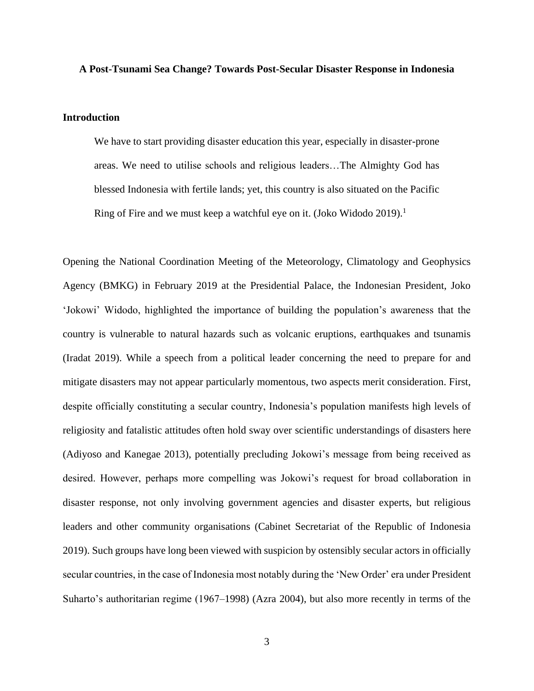### **A Post-Tsunami Sea Change? Towards Post-Secular Disaster Response in Indonesia**

## **Introduction**

We have to start providing disaster education this year, especially in disaster-prone areas. We need to utilise schools and religious leaders…The Almighty God has blessed Indonesia with fertile lands; yet, this country is also situated on the Pacific Ring of Fire and we must keep a watchful eye on it. (Joko Widodo 2019).<sup>1</sup>

Opening the National Coordination Meeting of the Meteorology, Climatology and Geophysics Agency (BMKG) in February 2019 at the Presidential Palace, the Indonesian President, Joko 'Jokowi' Widodo, highlighted the importance of building the population's awareness that the country is vulnerable to natural hazards such as volcanic eruptions, earthquakes and tsunamis (Iradat 2019). While a speech from a political leader concerning the need to prepare for and mitigate disasters may not appear particularly momentous, two aspects merit consideration. First, despite officially constituting a secular country, Indonesia's population manifests high levels of religiosity and fatalistic attitudes often hold sway over scientific understandings of disasters here (Adiyoso and Kanegae 2013), potentially precluding Jokowi's message from being received as desired. However, perhaps more compelling was Jokowi's request for broad collaboration in disaster response, not only involving government agencies and disaster experts, but religious leaders and other community organisations (Cabinet Secretariat of the Republic of Indonesia 2019). Such groups have long been viewed with suspicion by ostensibly secular actors in officially secular countries, in the case of Indonesia most notably during the 'New Order' era under President Suharto's authoritarian regime (1967–1998) (Azra 2004), but also more recently in terms of the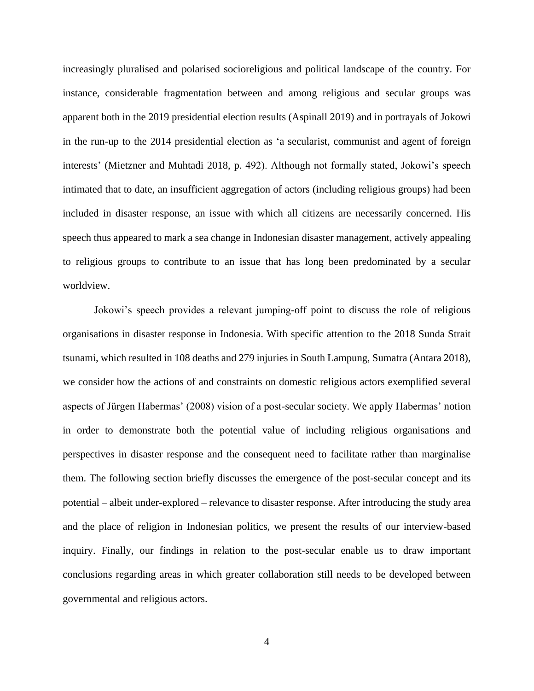increasingly pluralised and polarised socioreligious and political landscape of the country. For instance, considerable fragmentation between and among religious and secular groups was apparent both in the 2019 presidential election results (Aspinall 2019) and in portrayals of Jokowi in the run-up to the 2014 presidential election as 'a secularist, communist and agent of foreign interests' (Mietzner and Muhtadi 2018, p. 492). Although not formally stated, Jokowi's speech intimated that to date, an insufficient aggregation of actors (including religious groups) had been included in disaster response, an issue with which all citizens are necessarily concerned. His speech thus appeared to mark a sea change in Indonesian disaster management, actively appealing to religious groups to contribute to an issue that has long been predominated by a secular worldview.

Jokowi's speech provides a relevant jumping-off point to discuss the role of religious organisations in disaster response in Indonesia. With specific attention to the 2018 Sunda Strait tsunami, which resulted in 108 deaths and 279 injuries in South Lampung, Sumatra (Antara 2018), we consider how the actions of and constraints on domestic religious actors exemplified several aspects of Jürgen Habermas' (2008) vision of a post-secular society. We apply Habermas' notion in order to demonstrate both the potential value of including religious organisations and perspectives in disaster response and the consequent need to facilitate rather than marginalise them. The following section briefly discusses the emergence of the post-secular concept and its potential – albeit under-explored – relevance to disaster response. After introducing the study area and the place of religion in Indonesian politics, we present the results of our interview-based inquiry. Finally, our findings in relation to the post-secular enable us to draw important conclusions regarding areas in which greater collaboration still needs to be developed between governmental and religious actors.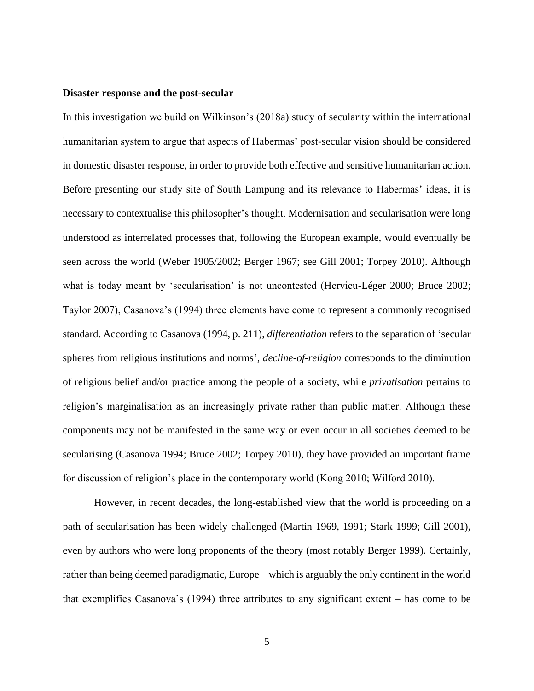### **Disaster response and the post-secular**

In this investigation we build on Wilkinson's (2018a) study of secularity within the international humanitarian system to argue that aspects of Habermas' post-secular vision should be considered in domestic disaster response, in order to provide both effective and sensitive humanitarian action. Before presenting our study site of South Lampung and its relevance to Habermas' ideas, it is necessary to contextualise this philosopher's thought. Modernisation and secularisation were long understood as interrelated processes that, following the European example, would eventually be seen across the world (Weber 1905/2002; Berger 1967; see Gill 2001; Torpey 2010). Although what is today meant by 'secularisation' is not uncontested (Hervieu-Léger 2000; Bruce 2002; Taylor 2007), Casanova's (1994) three elements have come to represent a commonly recognised standard. According to Casanova (1994, p. 211), *differentiation* refers to the separation of 'secular spheres from religious institutions and norms', *decline-of-religion* corresponds to the diminution of religious belief and/or practice among the people of a society, while *privatisation* pertains to religion's marginalisation as an increasingly private rather than public matter. Although these components may not be manifested in the same way or even occur in all societies deemed to be secularising (Casanova 1994; Bruce 2002; Torpey 2010), they have provided an important frame for discussion of religion's place in the contemporary world (Kong 2010; Wilford 2010).

However, in recent decades, the long-established view that the world is proceeding on a path of secularisation has been widely challenged (Martin 1969, 1991; Stark 1999; Gill 2001), even by authors who were long proponents of the theory (most notably Berger 1999). Certainly, rather than being deemed paradigmatic, Europe – which is arguably the only continent in the world that exemplifies Casanova's (1994) three attributes to any significant extent – has come to be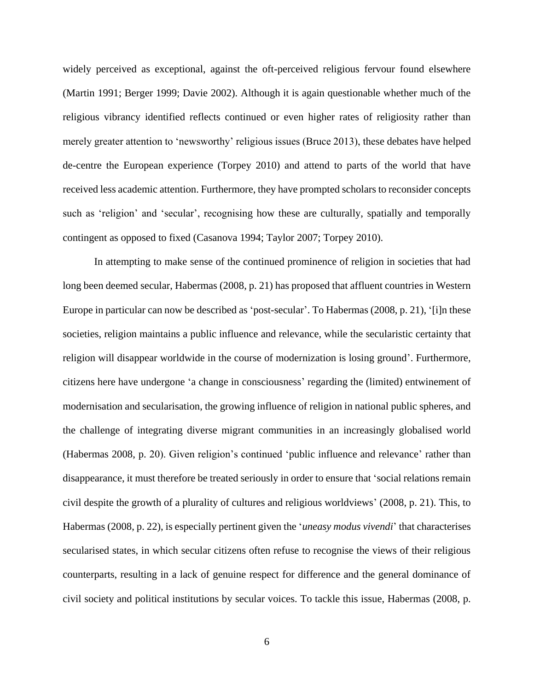widely perceived as exceptional, against the oft-perceived religious fervour found elsewhere (Martin 1991; Berger 1999; Davie 2002). Although it is again questionable whether much of the religious vibrancy identified reflects continued or even higher rates of religiosity rather than merely greater attention to 'newsworthy' religious issues (Bruce 2013), these debates have helped de-centre the European experience (Torpey 2010) and attend to parts of the world that have received less academic attention. Furthermore, they have prompted scholars to reconsider concepts such as 'religion' and 'secular', recognising how these are culturally, spatially and temporally contingent as opposed to fixed (Casanova 1994; Taylor 2007; Torpey 2010).

In attempting to make sense of the continued prominence of religion in societies that had long been deemed secular, Habermas (2008, p. 21) has proposed that affluent countries in Western Europe in particular can now be described as 'post-secular'. To Habermas (2008, p. 21), '[i]n these societies, religion maintains a public influence and relevance, while the secularistic certainty that religion will disappear worldwide in the course of modernization is losing ground'. Furthermore, citizens here have undergone 'a change in consciousness' regarding the (limited) entwinement of modernisation and secularisation, the growing influence of religion in national public spheres, and the challenge of integrating diverse migrant communities in an increasingly globalised world (Habermas 2008, p. 20). Given religion's continued 'public influence and relevance' rather than disappearance, it must therefore be treated seriously in order to ensure that 'social relations remain civil despite the growth of a plurality of cultures and religious worldviews' (2008, p. 21). This, to Habermas (2008, p. 22), is especially pertinent given the '*uneasy modus vivendi*' that characterises secularised states, in which secular citizens often refuse to recognise the views of their religious counterparts, resulting in a lack of genuine respect for difference and the general dominance of civil society and political institutions by secular voices. To tackle this issue, Habermas (2008, p.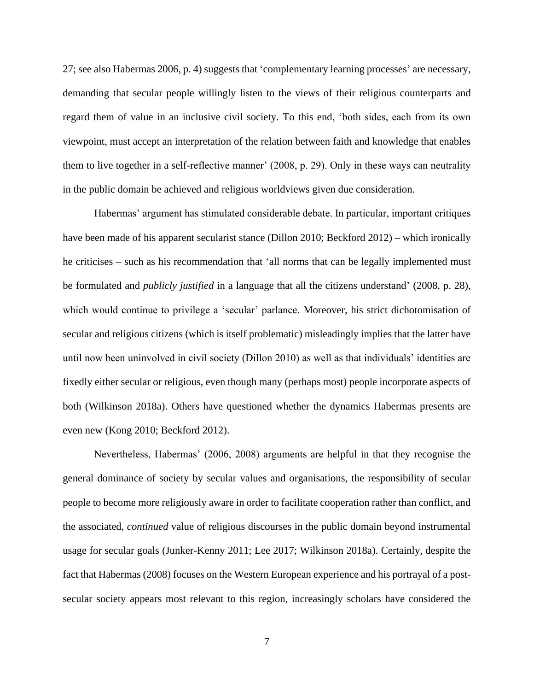27; see also Habermas 2006, p. 4) suggests that 'complementary learning processes' are necessary, demanding that secular people willingly listen to the views of their religious counterparts and regard them of value in an inclusive civil society. To this end, 'both sides, each from its own viewpoint, must accept an interpretation of the relation between faith and knowledge that enables them to live together in a self-reflective manner' (2008, p. 29). Only in these ways can neutrality in the public domain be achieved and religious worldviews given due consideration.

Habermas' argument has stimulated considerable debate. In particular, important critiques have been made of his apparent secularist stance (Dillon 2010; Beckford 2012) – which ironically he criticises – such as his recommendation that 'all norms that can be legally implemented must be formulated and *publicly justified* in a language that all the citizens understand' (2008, p. 28), which would continue to privilege a 'secular' parlance. Moreover, his strict dichotomisation of secular and religious citizens (which is itself problematic) misleadingly implies that the latter have until now been uninvolved in civil society (Dillon 2010) as well as that individuals' identities are fixedly either secular or religious, even though many (perhaps most) people incorporate aspects of both (Wilkinson 2018a). Others have questioned whether the dynamics Habermas presents are even new (Kong 2010; Beckford 2012).

Nevertheless, Habermas' (2006, 2008) arguments are helpful in that they recognise the general dominance of society by secular values and organisations, the responsibility of secular people to become more religiously aware in order to facilitate cooperation rather than conflict, and the associated, *continued* value of religious discourses in the public domain beyond instrumental usage for secular goals (Junker-Kenny 2011; Lee 2017; Wilkinson 2018a). Certainly, despite the fact that Habermas (2008) focuses on the Western European experience and his portrayal of a postsecular society appears most relevant to this region, increasingly scholars have considered the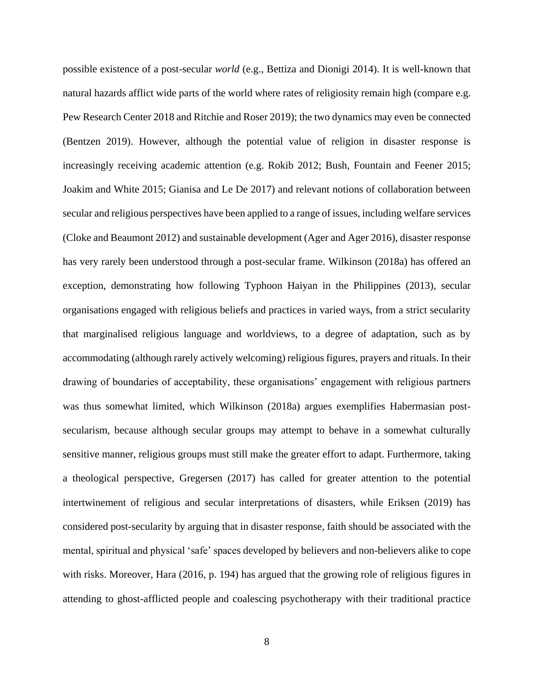possible existence of a post-secular *world* (e.g., Bettiza and Dionigi 2014). It is well-known that natural hazards afflict wide parts of the world where rates of religiosity remain high (compare e.g. Pew Research Center 2018 and Ritchie and Roser 2019); the two dynamics may even be connected (Bentzen 2019). However, although the potential value of religion in disaster response is increasingly receiving academic attention (e.g. Rokib 2012; Bush, Fountain and Feener 2015; Joakim and White 2015; Gianisa and Le De 2017) and relevant notions of collaboration between secular and religious perspectives have been applied to a range of issues, including welfare services (Cloke and Beaumont 2012) and sustainable development (Ager and Ager 2016), disaster response has very rarely been understood through a post-secular frame. Wilkinson (2018a) has offered an exception, demonstrating how following Typhoon Haiyan in the Philippines (2013), secular organisations engaged with religious beliefs and practices in varied ways, from a strict secularity that marginalised religious language and worldviews, to a degree of adaptation, such as by accommodating (although rarely actively welcoming) religious figures, prayers and rituals. In their drawing of boundaries of acceptability, these organisations' engagement with religious partners was thus somewhat limited, which Wilkinson (2018a) argues exemplifies Habermasian postsecularism, because although secular groups may attempt to behave in a somewhat culturally sensitive manner, religious groups must still make the greater effort to adapt. Furthermore, taking a theological perspective, Gregersen (2017) has called for greater attention to the potential intertwinement of religious and secular interpretations of disasters, while Eriksen (2019) has considered post-secularity by arguing that in disaster response, faith should be associated with the mental, spiritual and physical 'safe' spaces developed by believers and non-believers alike to cope with risks. Moreover, Hara (2016, p. 194) has argued that the growing role of religious figures in attending to ghost-afflicted people and coalescing psychotherapy with their traditional practice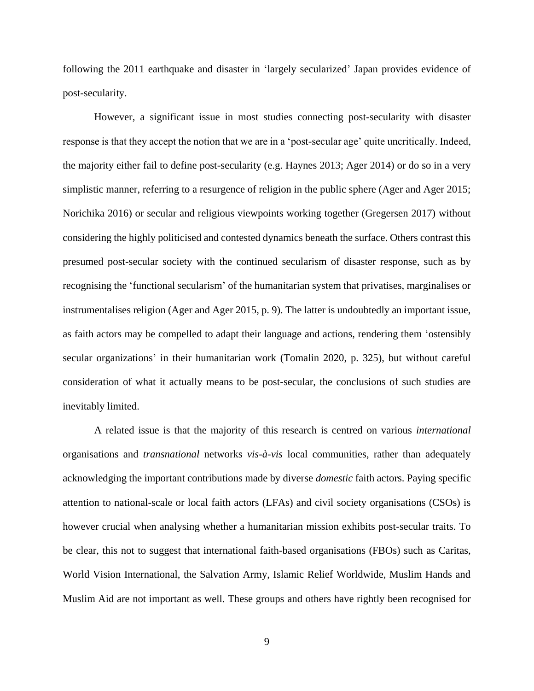following the 2011 earthquake and disaster in 'largely secularized' Japan provides evidence of post-secularity.

However, a significant issue in most studies connecting post-secularity with disaster response is that they accept the notion that we are in a 'post-secular age' quite uncritically. Indeed, the majority either fail to define post-secularity (e.g. Haynes 2013; Ager 2014) or do so in a very simplistic manner, referring to a resurgence of religion in the public sphere (Ager and Ager 2015; Norichika 2016) or secular and religious viewpoints working together (Gregersen 2017) without considering the highly politicised and contested dynamics beneath the surface. Others contrast this presumed post-secular society with the continued secularism of disaster response, such as by recognising the 'functional secularism' of the humanitarian system that privatises, marginalises or instrumentalises religion (Ager and Ager 2015, p. 9). The latter is undoubtedly an important issue, as faith actors may be compelled to adapt their language and actions, rendering them 'ostensibly secular organizations' in their humanitarian work (Tomalin 2020, p. 325), but without careful consideration of what it actually means to be post-secular, the conclusions of such studies are inevitably limited.

A related issue is that the majority of this research is centred on various *international* organisations and *transnational* networks *vis-à-vis* local communities, rather than adequately acknowledging the important contributions made by diverse *domestic* faith actors. Paying specific attention to national-scale or local faith actors (LFAs) and civil society organisations (CSOs) is however crucial when analysing whether a humanitarian mission exhibits post-secular traits. To be clear, this not to suggest that international faith-based organisations (FBOs) such as Caritas, World Vision International, the Salvation Army, Islamic Relief Worldwide, Muslim Hands and Muslim Aid are not important as well. These groups and others have rightly been recognised for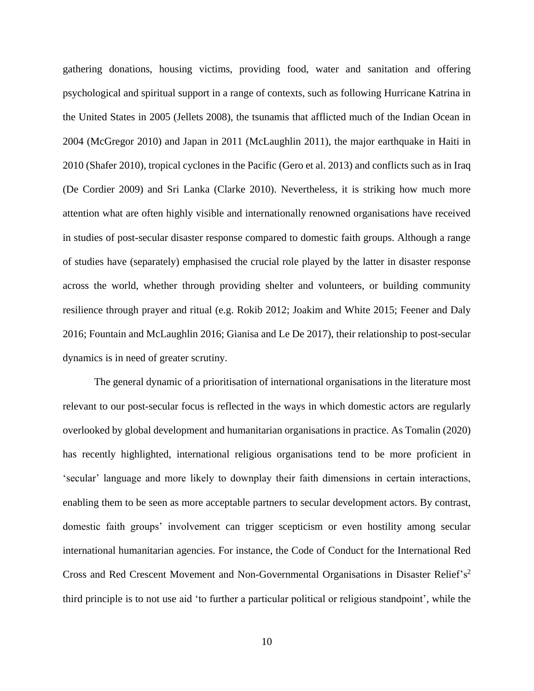gathering donations, housing victims, providing food, water and sanitation and offering psychological and spiritual support in a range of contexts, such as following Hurricane Katrina in the United States in 2005 (Jellets 2008), the tsunamis that afflicted much of the Indian Ocean in 2004 (McGregor 2010) and Japan in 2011 (McLaughlin 2011), the major earthquake in Haiti in 2010 (Shafer 2010), tropical cyclones in the Pacific (Gero et al. 2013) and conflicts such as in Iraq (De Cordier 2009) and Sri Lanka (Clarke 2010). Nevertheless, it is striking how much more attention what are often highly visible and internationally renowned organisations have received in studies of post-secular disaster response compared to domestic faith groups. Although a range of studies have (separately) emphasised the crucial role played by the latter in disaster response across the world, whether through providing shelter and volunteers, or building community resilience through prayer and ritual (e.g. Rokib 2012; Joakim and White 2015; Feener and Daly 2016; Fountain and McLaughlin 2016; Gianisa and Le De 2017), their relationship to post-secular dynamics is in need of greater scrutiny.

The general dynamic of a prioritisation of international organisations in the literature most relevant to our post-secular focus is reflected in the ways in which domestic actors are regularly overlooked by global development and humanitarian organisations in practice. As Tomalin (2020) has recently highlighted, international religious organisations tend to be more proficient in 'secular' language and more likely to downplay their faith dimensions in certain interactions, enabling them to be seen as more acceptable partners to secular development actors. By contrast, domestic faith groups' involvement can trigger scepticism or even hostility among secular international humanitarian agencies. For instance, the Code of Conduct for the International Red Cross and Red Crescent Movement and Non-Governmental Organisations in Disaster Relief's<sup>2</sup> third principle is to not use aid 'to further a particular political or religious standpoint', while the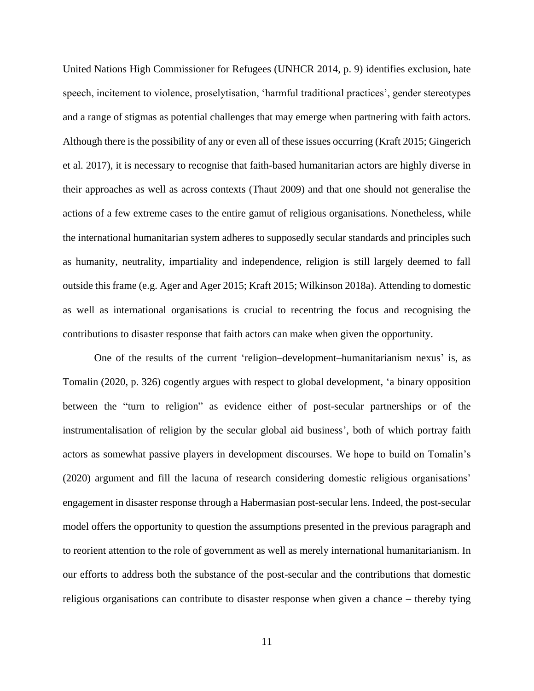United Nations High Commissioner for Refugees (UNHCR 2014, p. 9) identifies exclusion, hate speech, incitement to violence, proselytisation, 'harmful traditional practices', gender stereotypes and a range of stigmas as potential challenges that may emerge when partnering with faith actors. Although there is the possibility of any or even all of these issues occurring (Kraft 2015; Gingerich et al. 2017), it is necessary to recognise that faith-based humanitarian actors are highly diverse in their approaches as well as across contexts (Thaut 2009) and that one should not generalise the actions of a few extreme cases to the entire gamut of religious organisations. Nonetheless, while the international humanitarian system adheres to supposedly secular standards and principles such as humanity, neutrality, impartiality and independence, religion is still largely deemed to fall outside this frame (e.g. Ager and Ager 2015; Kraft 2015; Wilkinson 2018a). Attending to domestic as well as international organisations is crucial to recentring the focus and recognising the contributions to disaster response that faith actors can make when given the opportunity.

One of the results of the current 'religion–development–humanitarianism nexus' is, as Tomalin (2020, p. 326) cogently argues with respect to global development, 'a binary opposition between the "turn to religion" as evidence either of post-secular partnerships or of the instrumentalisation of religion by the secular global aid business', both of which portray faith actors as somewhat passive players in development discourses. We hope to build on Tomalin's (2020) argument and fill the lacuna of research considering domestic religious organisations' engagement in disaster response through a Habermasian post-secular lens. Indeed, the post-secular model offers the opportunity to question the assumptions presented in the previous paragraph and to reorient attention to the role of government as well as merely international humanitarianism. In our efforts to address both the substance of the post-secular and the contributions that domestic religious organisations can contribute to disaster response when given a chance – thereby tying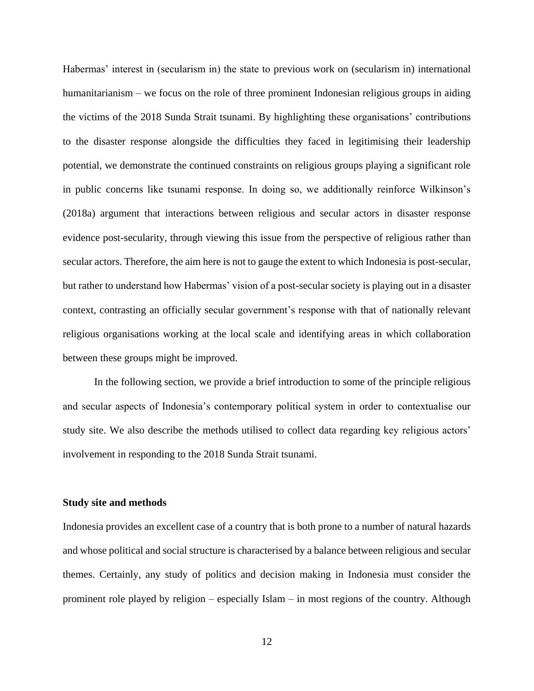Habermas' interest in (secularism in) the state to previous work on (secularism in) international humanitarianism – we focus on the role of three prominent Indonesian religious groups in aiding the victims of the 2018 Sunda Strait tsunami. By highlighting these organisations' contributions to the disaster response alongside the difficulties they faced in legitimising their leadership potential, we demonstrate the continued constraints on religious groups playing a significant role in public concerns like tsunami response. In doing so, we additionally reinforce Wilkinson's (2018a) argument that interactions between religious and secular actors in disaster response evidence post-secularity, through viewing this issue from the perspective of religious rather than secular actors. Therefore, the aim here is not to gauge the extent to which Indonesia is post-secular, but rather to understand how Habermas' vision of a post-secular society is playing out in a disaster context, contrasting an officially secular government's response with that of nationally relevant religious organisations working at the local scale and identifying areas in which collaboration between these groups might be improved.

In the following section, we provide a brief introduction to some of the principle religious and secular aspects of Indonesia's contemporary political system in order to contextualise our study site. We also describe the methods utilised to collect data regarding key religious actors' involvement in responding to the 2018 Sunda Strait tsunami.

#### **Study site and methods**

Indonesia provides an excellent case of a country that is both prone to a number of natural hazards and whose political and social structure is characterised by a balance between religious and secular themes. Certainly, any study of politics and decision making in Indonesia must consider the prominent role played by religion – especially Islam – in most regions of the country. Although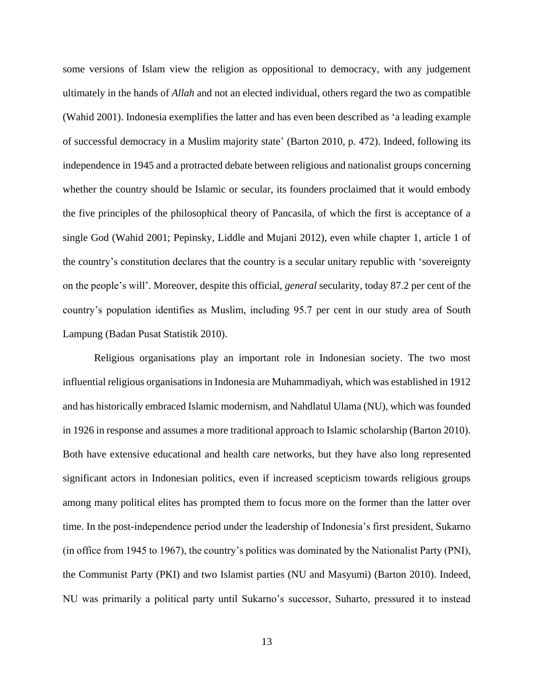some versions of Islam view the religion as oppositional to democracy, with any judgement ultimately in the hands of *Allah* and not an elected individual, others regard the two as compatible (Wahid 2001). Indonesia exemplifies the latter and has even been described as 'a leading example of successful democracy in a Muslim majority state' (Barton 2010, p. 472). Indeed, following its independence in 1945 and a protracted debate between religious and nationalist groups concerning whether the country should be Islamic or secular, its founders proclaimed that it would embody the five principles of the philosophical theory of Pancasila, of which the first is acceptance of a single God (Wahid 2001; Pepinsky, Liddle and Mujani 2012), even while chapter 1, article 1 of the country's constitution declares that the country is a secular unitary republic with 'sovereignty on the people's will'. Moreover, despite this official, *general* secularity, today 87.2 per cent of the country's population identifies as Muslim, including 95.7 per cent in our study area of South Lampung (Badan Pusat Statistik 2010).

Religious organisations play an important role in Indonesian society. The two most influential religious organisations in Indonesia are Muhammadiyah, which was established in 1912 and has historically embraced Islamic modernism, and Nahdlatul Ulama (NU), which was founded in 1926 in response and assumes a more traditional approach to Islamic scholarship (Barton 2010). Both have extensive educational and health care networks, but they have also long represented significant actors in Indonesian politics, even if increased scepticism towards religious groups among many political elites has prompted them to focus more on the former than the latter over time. In the post-independence period under the leadership of Indonesia's first president, Sukarno (in office from 1945 to 1967), the country's politics was dominated by the Nationalist Party (PNI), the Communist Party (PKI) and two Islamist parties (NU and Masyumi) (Barton 2010). Indeed, NU was primarily a political party until Sukarno's successor, Suharto, pressured it to instead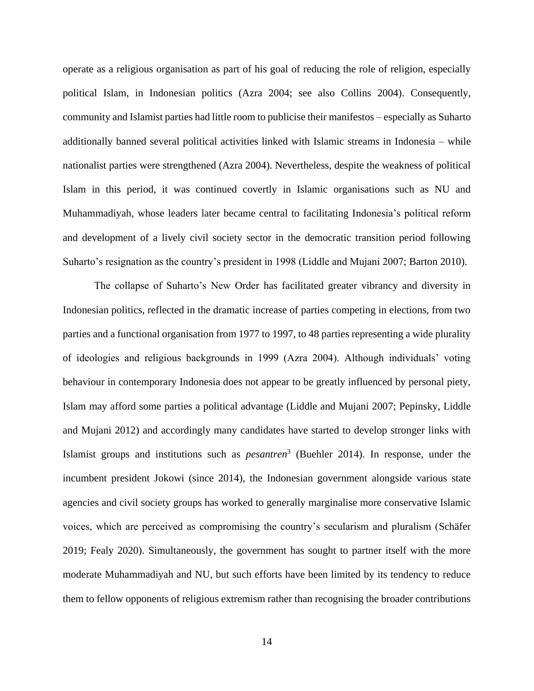operate as a religious organisation as part of his goal of reducing the role of religion, especially political Islam, in Indonesian politics (Azra 2004; see also Collins 2004). Consequently, community and Islamist parties had little room to publicise their manifestos – especially as Suharto additionally banned several political activities linked with Islamic streams in Indonesia – while nationalist parties were strengthened (Azra 2004). Nevertheless, despite the weakness of political Islam in this period, it was continued covertly in Islamic organisations such as NU and Muhammadiyah, whose leaders later became central to facilitating Indonesia's political reform and development of a lively civil society sector in the democratic transition period following Suharto's resignation as the country's president in 1998 (Liddle and Mujani 2007; Barton 2010).

The collapse of Suharto's New Order has facilitated greater vibrancy and diversity in Indonesian politics, reflected in the dramatic increase of parties competing in elections, from two parties and a functional organisation from 1977 to 1997, to 48 parties representing a wide plurality of ideologies and religious backgrounds in 1999 (Azra 2004). Although individuals' voting behaviour in contemporary Indonesia does not appear to be greatly influenced by personal piety, Islam may afford some parties a political advantage (Liddle and Mujani 2007; Pepinsky, Liddle and Mujani 2012) and accordingly many candidates have started to develop stronger links with Islamist groups and institutions such as *pesantren*<sup>3</sup> (Buehler 2014). In response, under the incumbent president Jokowi (since 2014), the Indonesian government alongside various state agencies and civil society groups has worked to generally marginalise more conservative Islamic voices, which are perceived as compromising the country's secularism and pluralism (Schäfer 2019; Fealy 2020). Simultaneously, the government has sought to partner itself with the more moderate Muhammadiyah and NU, but such efforts have been limited by its tendency to reduce them to fellow opponents of religious extremism rather than recognising the broader contributions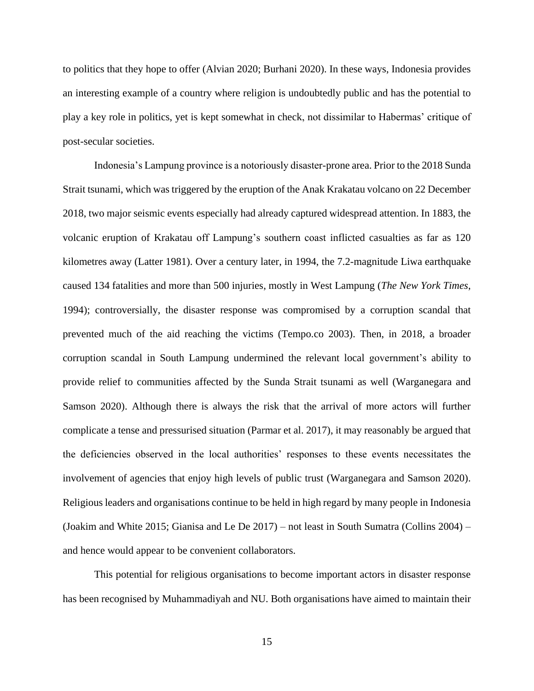to politics that they hope to offer (Alvian 2020; Burhani 2020). In these ways, Indonesia provides an interesting example of a country where religion is undoubtedly public and has the potential to play a key role in politics, yet is kept somewhat in check, not dissimilar to Habermas' critique of post-secular societies.

Indonesia's Lampung province is a notoriously disaster-prone area. Prior to the 2018 Sunda Strait tsunami, which was triggered by the eruption of the Anak Krakatau volcano on 22 December 2018, two major seismic events especially had already captured widespread attention. In 1883, the volcanic eruption of Krakatau off Lampung's southern coast inflicted casualties as far as 120 kilometres away (Latter 1981). Over a century later, in 1994, the 7.2-magnitude Liwa earthquake caused 134 fatalities and more than 500 injuries, mostly in West Lampung (*The New York Times*, 1994); controversially, the disaster response was compromised by a corruption scandal that prevented much of the aid reaching the victims (Tempo.co 2003). Then, in 2018, a broader corruption scandal in South Lampung undermined the relevant local government's ability to provide relief to communities affected by the Sunda Strait tsunami as well (Warganegara and Samson 2020). Although there is always the risk that the arrival of more actors will further complicate a tense and pressurised situation (Parmar et al. 2017), it may reasonably be argued that the deficiencies observed in the local authorities' responses to these events necessitates the involvement of agencies that enjoy high levels of public trust (Warganegara and Samson 2020). Religious leaders and organisations continue to be held in high regard by many people in Indonesia (Joakim and White 2015; Gianisa and Le De 2017) – not least in South Sumatra (Collins 2004) – and hence would appear to be convenient collaborators.

This potential for religious organisations to become important actors in disaster response has been recognised by Muhammadiyah and NU. Both organisations have aimed to maintain their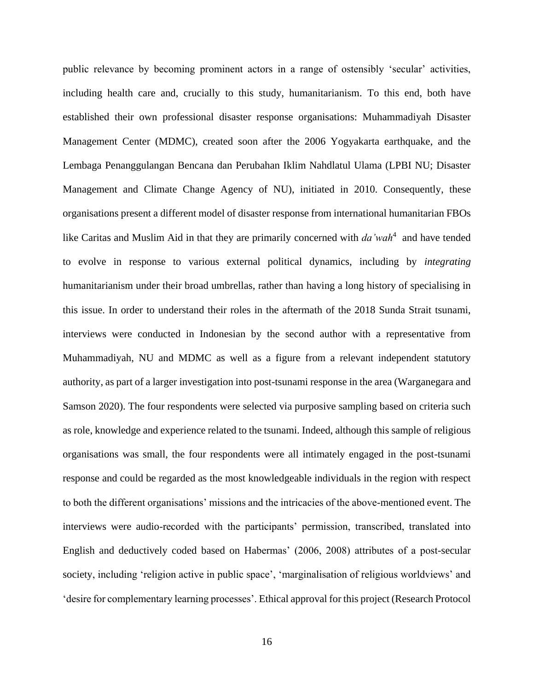public relevance by becoming prominent actors in a range of ostensibly 'secular' activities, including health care and, crucially to this study, humanitarianism. To this end, both have established their own professional disaster response organisations: Muhammadiyah Disaster Management Center (MDMC), created soon after the 2006 Yogyakarta earthquake, and the Lembaga Penanggulangan Bencana dan Perubahan Iklim Nahdlatul Ulama (LPBI NU; Disaster Management and Climate Change Agency of NU), initiated in 2010. Consequently, these organisations present a different model of disaster response from international humanitarian FBOs like Caritas and Muslim Aid in that they are primarily concerned with *da'wah*<sup>4</sup> and have tended to evolve in response to various external political dynamics, including by *integrating* humanitarianism under their broad umbrellas, rather than having a long history of specialising in this issue. In order to understand their roles in the aftermath of the 2018 Sunda Strait tsunami, interviews were conducted in Indonesian by the second author with a representative from Muhammadiyah, NU and MDMC as well as a figure from a relevant independent statutory authority, as part of a larger investigation into post-tsunami response in the area (Warganegara and Samson 2020). The four respondents were selected via purposive sampling based on criteria such as role, knowledge and experience related to the tsunami. Indeed, although this sample of religious organisations was small, the four respondents were all intimately engaged in the post-tsunami response and could be regarded as the most knowledgeable individuals in the region with respect to both the different organisations' missions and the intricacies of the above-mentioned event. The interviews were audio-recorded with the participants' permission, transcribed, translated into English and deductively coded based on Habermas' (2006, 2008) attributes of a post-secular society, including 'religion active in public space', 'marginalisation of religious worldviews' and 'desire for complementary learning processes'. Ethical approval for this project (Research Protocol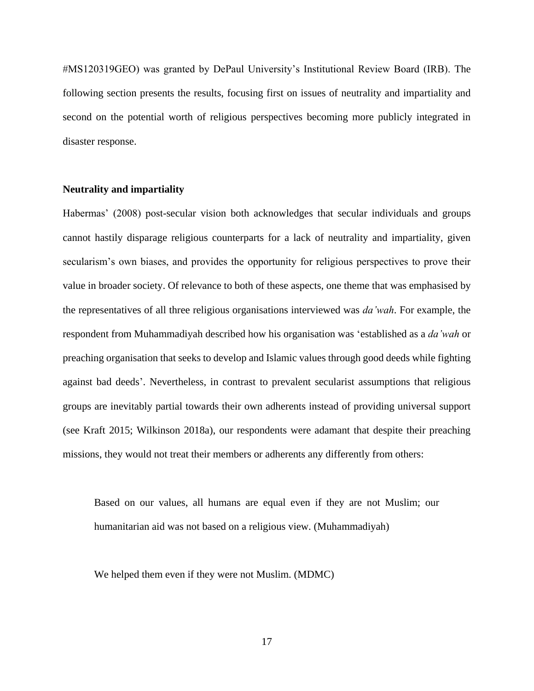#MS120319GEO) was granted by DePaul University's Institutional Review Board (IRB). The following section presents the results, focusing first on issues of neutrality and impartiality and second on the potential worth of religious perspectives becoming more publicly integrated in disaster response.

## **Neutrality and impartiality**

Habermas' (2008) post-secular vision both acknowledges that secular individuals and groups cannot hastily disparage religious counterparts for a lack of neutrality and impartiality, given secularism's own biases, and provides the opportunity for religious perspectives to prove their value in broader society. Of relevance to both of these aspects, one theme that was emphasised by the representatives of all three religious organisations interviewed was *da'wah*. For example, the respondent from Muhammadiyah described how his organisation was 'established as a *da'wah* or preaching organisation that seeks to develop and Islamic values through good deeds while fighting against bad deeds'. Nevertheless, in contrast to prevalent secularist assumptions that religious groups are inevitably partial towards their own adherents instead of providing universal support (see Kraft 2015; Wilkinson 2018a), our respondents were adamant that despite their preaching missions, they would not treat their members or adherents any differently from others:

Based on our values, all humans are equal even if they are not Muslim; our humanitarian aid was not based on a religious view. (Muhammadiyah)

We helped them even if they were not Muslim. (MDMC)

17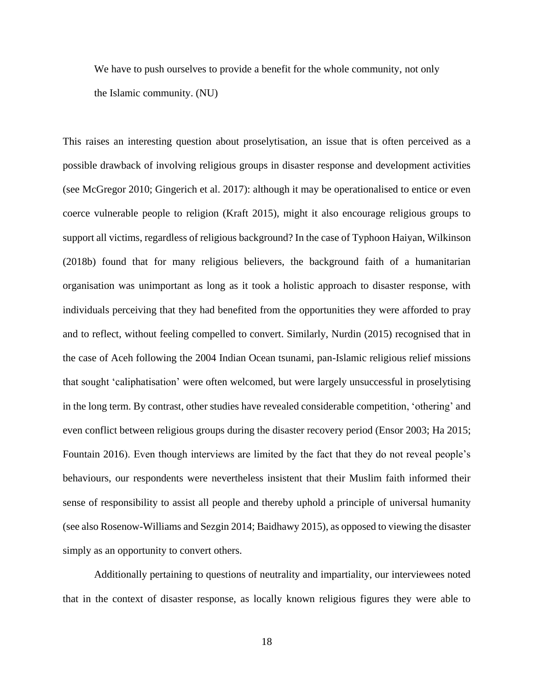We have to push ourselves to provide a benefit for the whole community, not only the Islamic community. (NU)

This raises an interesting question about proselytisation, an issue that is often perceived as a possible drawback of involving religious groups in disaster response and development activities (see McGregor 2010; Gingerich et al. 2017): although it may be operationalised to entice or even coerce vulnerable people to religion (Kraft 2015), might it also encourage religious groups to support all victims, regardless of religious background? In the case of Typhoon Haiyan, Wilkinson (2018b) found that for many religious believers, the background faith of a humanitarian organisation was unimportant as long as it took a holistic approach to disaster response, with individuals perceiving that they had benefited from the opportunities they were afforded to pray and to reflect, without feeling compelled to convert. Similarly, Nurdin (2015) recognised that in the case of Aceh following the 2004 Indian Ocean tsunami, pan-Islamic religious relief missions that sought 'caliphatisation' were often welcomed, but were largely unsuccessful in proselytising in the long term. By contrast, other studies have revealed considerable competition, 'othering' and even conflict between religious groups during the disaster recovery period (Ensor 2003; Ha 2015; Fountain 2016). Even though interviews are limited by the fact that they do not reveal people's behaviours, our respondents were nevertheless insistent that their Muslim faith informed their sense of responsibility to assist all people and thereby uphold a principle of universal humanity (see also Rosenow-Williams and Sezgin 2014; Baidhawy 2015), as opposed to viewing the disaster simply as an opportunity to convert others.

Additionally pertaining to questions of neutrality and impartiality, our interviewees noted that in the context of disaster response, as locally known religious figures they were able to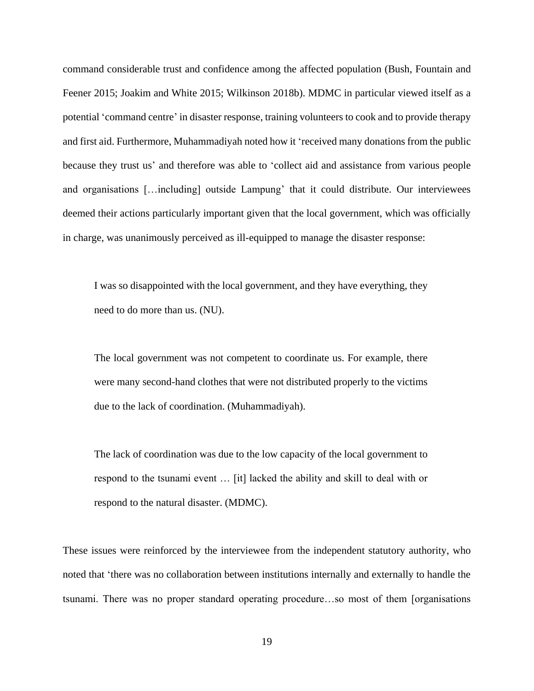command considerable trust and confidence among the affected population (Bush, Fountain and Feener 2015; Joakim and White 2015; Wilkinson 2018b). MDMC in particular viewed itself as a potential 'command centre' in disaster response, training volunteers to cook and to provide therapy and first aid. Furthermore, Muhammadiyah noted how it 'received many donations from the public because they trust us' and therefore was able to 'collect aid and assistance from various people and organisations […including] outside Lampung' that it could distribute. Our interviewees deemed their actions particularly important given that the local government, which was officially in charge, was unanimously perceived as ill-equipped to manage the disaster response:

I was so disappointed with the local government, and they have everything, they need to do more than us. (NU).

The local government was not competent to coordinate us. For example, there were many second-hand clothes that were not distributed properly to the victims due to the lack of coordination. (Muhammadiyah).

The lack of coordination was due to the low capacity of the local government to respond to the tsunami event … [it] lacked the ability and skill to deal with or respond to the natural disaster. (MDMC).

These issues were reinforced by the interviewee from the independent statutory authority, who noted that 'there was no collaboration between institutions internally and externally to handle the tsunami. There was no proper standard operating procedure…so most of them [organisations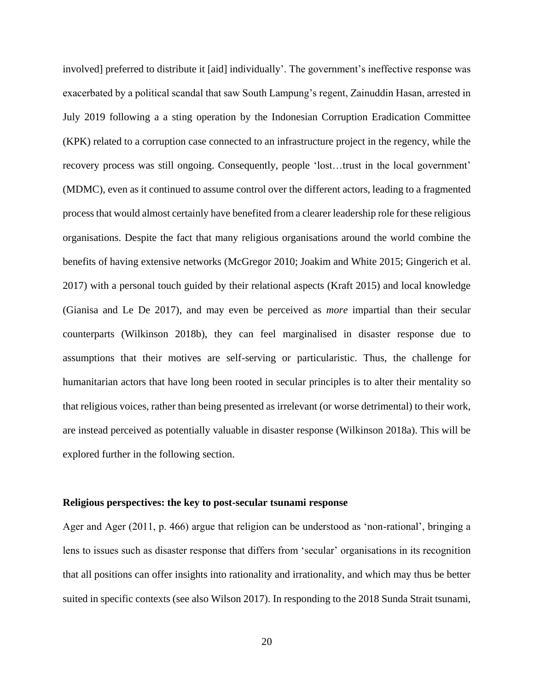involved] preferred to distribute it [aid] individually'. The government's ineffective response was exacerbated by a political scandal that saw South Lampung's regent, Zainuddin Hasan, arrested in July 2019 following a a sting operation by the Indonesian Corruption Eradication Committee (KPK) related to a corruption case connected to an infrastructure project in the regency, while the recovery process was still ongoing. Consequently, people 'lost…trust in the local government' (MDMC), even as it continued to assume control over the different actors, leading to a fragmented process that would almost certainly have benefited from a clearer leadership role for these religious organisations. Despite the fact that many religious organisations around the world combine the benefits of having extensive networks (McGregor 2010; Joakim and White 2015; Gingerich et al. 2017) with a personal touch guided by their relational aspects (Kraft 2015) and local knowledge (Gianisa and Le De 2017), and may even be perceived as *more* impartial than their secular counterparts (Wilkinson 2018b), they can feel marginalised in disaster response due to assumptions that their motives are self-serving or particularistic. Thus, the challenge for humanitarian actors that have long been rooted in secular principles is to alter their mentality so that religious voices, rather than being presented as irrelevant (or worse detrimental) to their work, are instead perceived as potentially valuable in disaster response (Wilkinson 2018a). This will be explored further in the following section.

#### **Religious perspectives: the key to post-secular tsunami response**

Ager and Ager (2011, p. 466) argue that religion can be understood as 'non-rational', bringing a lens to issues such as disaster response that differs from 'secular' organisations in its recognition that all positions can offer insights into rationality and irrationality, and which may thus be better suited in specific contexts (see also Wilson 2017). In responding to the 2018 Sunda Strait tsunami,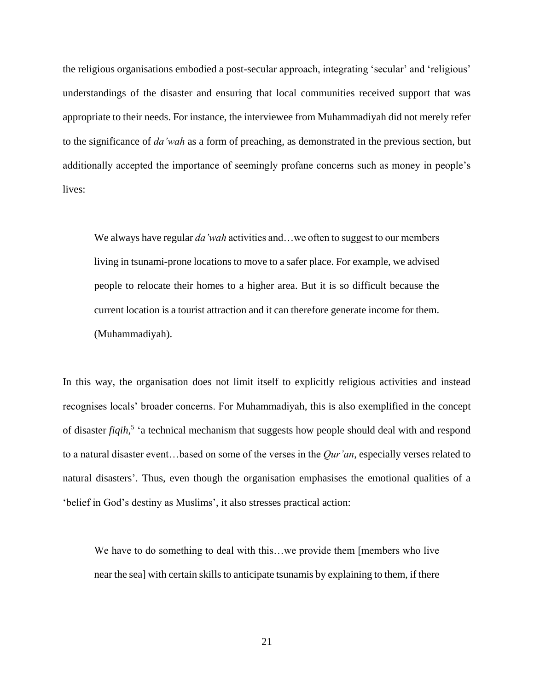the religious organisations embodied a post-secular approach, integrating 'secular' and 'religious' understandings of the disaster and ensuring that local communities received support that was appropriate to their needs. For instance, the interviewee from Muhammadiyah did not merely refer to the significance of *da'wah* as a form of preaching, as demonstrated in the previous section, but additionally accepted the importance of seemingly profane concerns such as money in people's lives:

We always have regular *da'wah* activities and…we often to suggest to our members living in tsunami-prone locations to move to a safer place. For example, we advised people to relocate their homes to a higher area. But it is so difficult because the current location is a tourist attraction and it can therefore generate income for them. (Muhammadiyah).

In this way, the organisation does not limit itself to explicitly religious activities and instead recognises locals' broader concerns. For Muhammadiyah, this is also exemplified in the concept of disaster *fiqih*, 5 'a technical mechanism that suggests how people should deal with and respond to a natural disaster event…based on some of the verses in the *Qur'an*, especially verses related to natural disasters'. Thus, even though the organisation emphasises the emotional qualities of a 'belief in God's destiny as Muslims', it also stresses practical action:

We have to do something to deal with this…we provide them [members who live near the sea] with certain skills to anticipate tsunamis by explaining to them, if there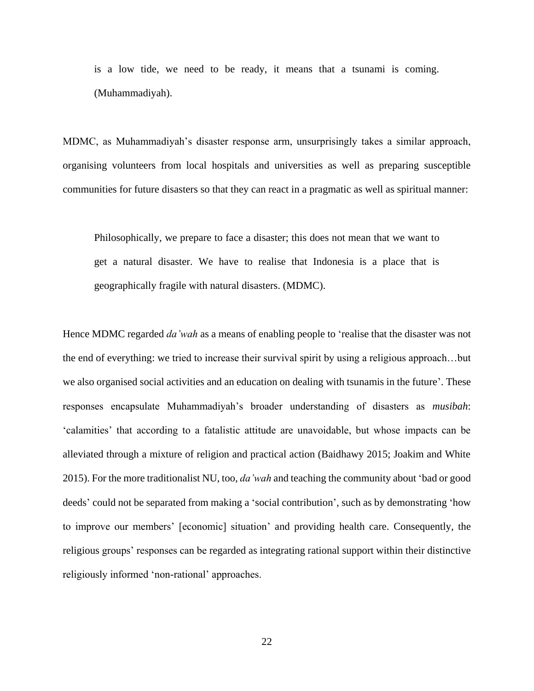is a low tide, we need to be ready, it means that a tsunami is coming. (Muhammadiyah).

MDMC, as Muhammadiyah's disaster response arm, unsurprisingly takes a similar approach, organising volunteers from local hospitals and universities as well as preparing susceptible communities for future disasters so that they can react in a pragmatic as well as spiritual manner:

Philosophically, we prepare to face a disaster; this does not mean that we want to get a natural disaster. We have to realise that Indonesia is a place that is geographically fragile with natural disasters. (MDMC).

Hence MDMC regarded *da'wah* as a means of enabling people to 'realise that the disaster was not the end of everything: we tried to increase their survival spirit by using a religious approach…but we also organised social activities and an education on dealing with tsunamis in the future'. These responses encapsulate Muhammadiyah's broader understanding of disasters as *musibah*: 'calamities' that according to a fatalistic attitude are unavoidable, but whose impacts can be alleviated through a mixture of religion and practical action (Baidhawy 2015; Joakim and White 2015). For the more traditionalist NU, too, *da'wah* and teaching the community about 'bad or good deeds' could not be separated from making a 'social contribution', such as by demonstrating 'how to improve our members' [economic] situation' and providing health care. Consequently, the religious groups' responses can be regarded as integrating rational support within their distinctive religiously informed 'non-rational' approaches.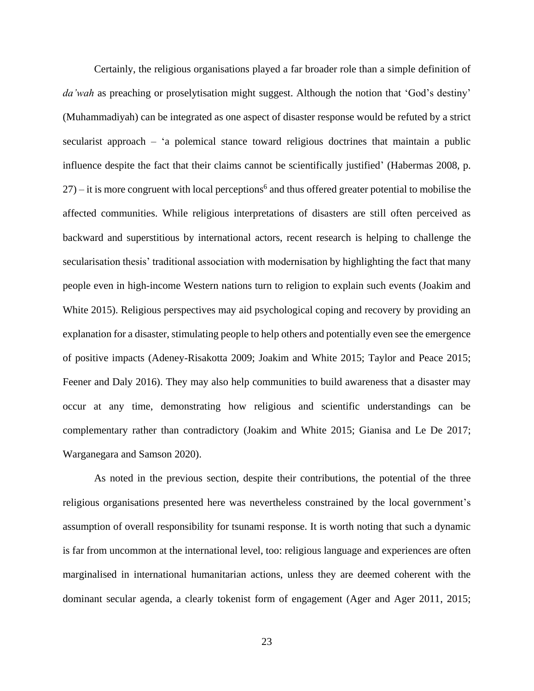Certainly, the religious organisations played a far broader role than a simple definition of *da'wah* as preaching or proselytisation might suggest. Although the notion that 'God's destiny' (Muhammadiyah) can be integrated as one aspect of disaster response would be refuted by a strict secularist approach – 'a polemical stance toward religious doctrines that maintain a public influence despite the fact that their claims cannot be scientifically justified' (Habermas 2008, p.  $27$  – it is more congruent with local perceptions<sup>6</sup> and thus offered greater potential to mobilise the affected communities. While religious interpretations of disasters are still often perceived as backward and superstitious by international actors, recent research is helping to challenge the secularisation thesis' traditional association with modernisation by highlighting the fact that many people even in high-income Western nations turn to religion to explain such events (Joakim and White 2015). Religious perspectives may aid psychological coping and recovery by providing an explanation for a disaster, stimulating people to help others and potentially even see the emergence of positive impacts (Adeney-Risakotta 2009; Joakim and White 2015; Taylor and Peace 2015; Feener and Daly 2016). They may also help communities to build awareness that a disaster may occur at any time, demonstrating how religious and scientific understandings can be complementary rather than contradictory (Joakim and White 2015; Gianisa and Le De 2017; Warganegara and Samson 2020).

As noted in the previous section, despite their contributions, the potential of the three religious organisations presented here was nevertheless constrained by the local government's assumption of overall responsibility for tsunami response. It is worth noting that such a dynamic is far from uncommon at the international level, too: religious language and experiences are often marginalised in international humanitarian actions, unless they are deemed coherent with the dominant secular agenda, a clearly tokenist form of engagement (Ager and Ager 2011, 2015;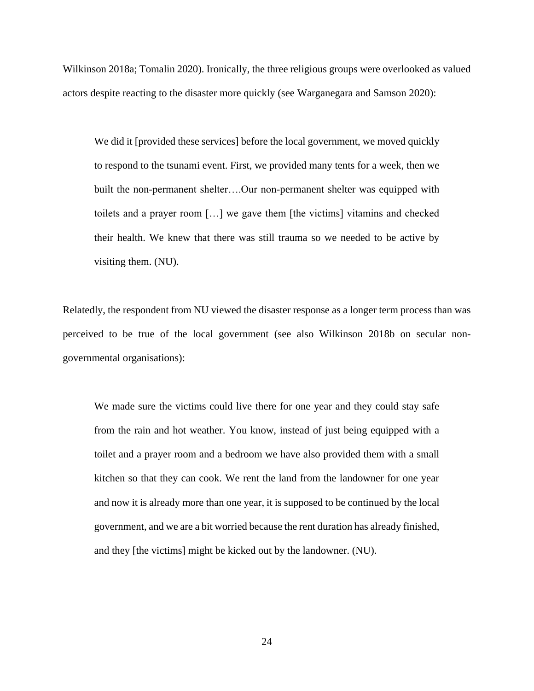Wilkinson 2018a; Tomalin 2020). Ironically, the three religious groups were overlooked as valued actors despite reacting to the disaster more quickly (see Warganegara and Samson 2020):

We did it [provided these services] before the local government, we moved quickly to respond to the tsunami event. First, we provided many tents for a week, then we built the non-permanent shelter….Our non-permanent shelter was equipped with toilets and a prayer room […] we gave them [the victims] vitamins and checked their health. We knew that there was still trauma so we needed to be active by visiting them. (NU).

Relatedly, the respondent from NU viewed the disaster response as a longer term process than was perceived to be true of the local government (see also Wilkinson 2018b on secular nongovernmental organisations):

We made sure the victims could live there for one year and they could stay safe from the rain and hot weather. You know, instead of just being equipped with a toilet and a prayer room and a bedroom we have also provided them with a small kitchen so that they can cook. We rent the land from the landowner for one year and now it is already more than one year, it is supposed to be continued by the local government, and we are a bit worried because the rent duration has already finished, and they [the victims] might be kicked out by the landowner. (NU).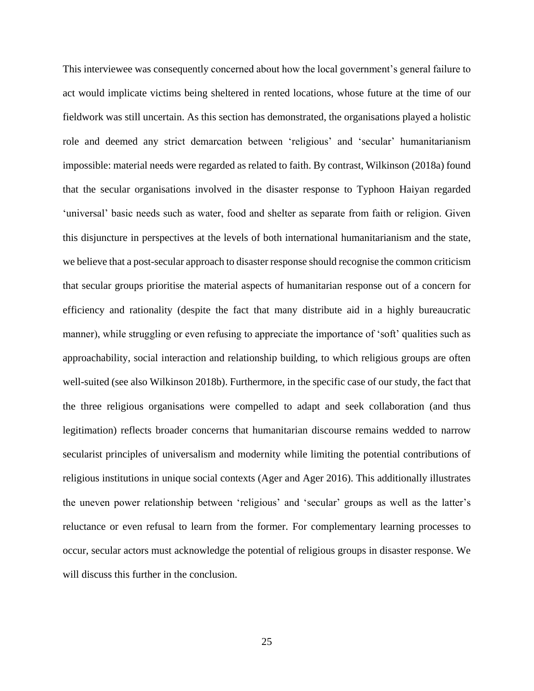This interviewee was consequently concerned about how the local government's general failure to act would implicate victims being sheltered in rented locations, whose future at the time of our fieldwork was still uncertain. As this section has demonstrated, the organisations played a holistic role and deemed any strict demarcation between 'religious' and 'secular' humanitarianism impossible: material needs were regarded as related to faith. By contrast, Wilkinson (2018a) found that the secular organisations involved in the disaster response to Typhoon Haiyan regarded 'universal' basic needs such as water, food and shelter as separate from faith or religion. Given this disjuncture in perspectives at the levels of both international humanitarianism and the state, we believe that a post-secular approach to disaster response should recognise the common criticism that secular groups prioritise the material aspects of humanitarian response out of a concern for efficiency and rationality (despite the fact that many distribute aid in a highly bureaucratic manner), while struggling or even refusing to appreciate the importance of 'soft' qualities such as approachability, social interaction and relationship building, to which religious groups are often well-suited (see also Wilkinson 2018b). Furthermore, in the specific case of our study, the fact that the three religious organisations were compelled to adapt and seek collaboration (and thus legitimation) reflects broader concerns that humanitarian discourse remains wedded to narrow secularist principles of universalism and modernity while limiting the potential contributions of religious institutions in unique social contexts (Ager and Ager 2016). This additionally illustrates the uneven power relationship between 'religious' and 'secular' groups as well as the latter's reluctance or even refusal to learn from the former. For complementary learning processes to occur, secular actors must acknowledge the potential of religious groups in disaster response. We will discuss this further in the conclusion.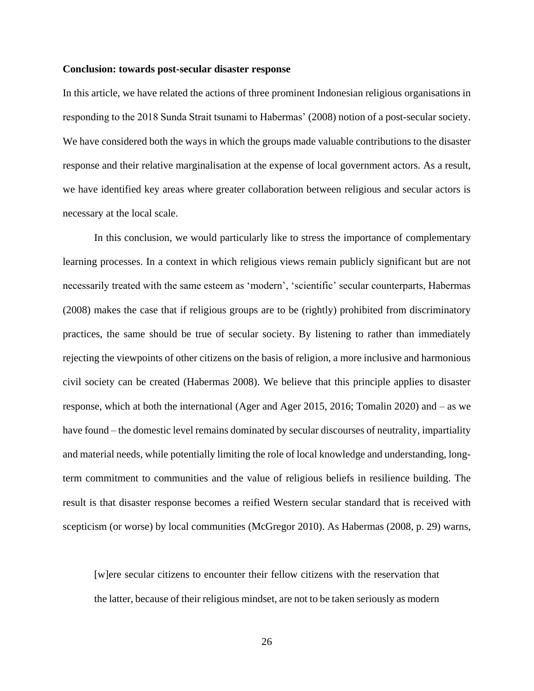#### **Conclusion: towards post-secular disaster response**

In this article, we have related the actions of three prominent Indonesian religious organisations in responding to the 2018 Sunda Strait tsunami to Habermas' (2008) notion of a post-secular society. We have considered both the ways in which the groups made valuable contributions to the disaster response and their relative marginalisation at the expense of local government actors. As a result, we have identified key areas where greater collaboration between religious and secular actors is necessary at the local scale.

In this conclusion, we would particularly like to stress the importance of complementary learning processes. In a context in which religious views remain publicly significant but are not necessarily treated with the same esteem as 'modern', 'scientific' secular counterparts, Habermas (2008) makes the case that if religious groups are to be (rightly) prohibited from discriminatory practices, the same should be true of secular society. By listening to rather than immediately rejecting the viewpoints of other citizens on the basis of religion, a more inclusive and harmonious civil society can be created (Habermas 2008). We believe that this principle applies to disaster response, which at both the international (Ager and Ager 2015, 2016; Tomalin 2020) and – as we have found – the domestic level remains dominated by secular discourses of neutrality, impartiality and material needs, while potentially limiting the role of local knowledge and understanding, longterm commitment to communities and the value of religious beliefs in resilience building. The result is that disaster response becomes a reified Western secular standard that is received with scepticism (or worse) by local communities (McGregor 2010). As Habermas (2008, p. 29) warns,

[w]ere secular citizens to encounter their fellow citizens with the reservation that the latter, because of their religious mindset, are not to be taken seriously as modern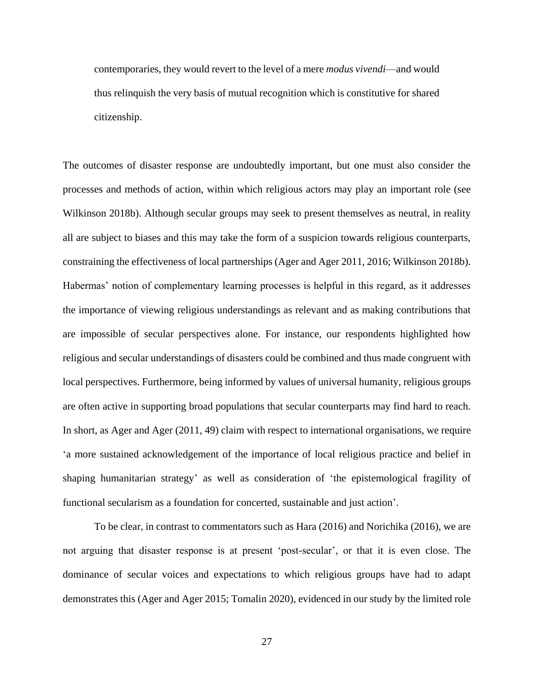contemporaries, they would revert to the level of a mere *modus vivendi*—and would thus relinquish the very basis of mutual recognition which is constitutive for shared citizenship.

The outcomes of disaster response are undoubtedly important, but one must also consider the processes and methods of action, within which religious actors may play an important role (see Wilkinson 2018b). Although secular groups may seek to present themselves as neutral, in reality all are subject to biases and this may take the form of a suspicion towards religious counterparts, constraining the effectiveness of local partnerships (Ager and Ager 2011, 2016; Wilkinson 2018b). Habermas' notion of complementary learning processes is helpful in this regard, as it addresses the importance of viewing religious understandings as relevant and as making contributions that are impossible of secular perspectives alone. For instance, our respondents highlighted how religious and secular understandings of disasters could be combined and thus made congruent with local perspectives. Furthermore, being informed by values of universal humanity, religious groups are often active in supporting broad populations that secular counterparts may find hard to reach. In short, as Ager and Ager (2011, 49) claim with respect to international organisations, we require 'a more sustained acknowledgement of the importance of local religious practice and belief in shaping humanitarian strategy' as well as consideration of 'the epistemological fragility of functional secularism as a foundation for concerted, sustainable and just action'.

To be clear, in contrast to commentators such as Hara (2016) and Norichika (2016), we are not arguing that disaster response is at present 'post-secular', or that it is even close. The dominance of secular voices and expectations to which religious groups have had to adapt demonstrates this (Ager and Ager 2015; Tomalin 2020), evidenced in our study by the limited role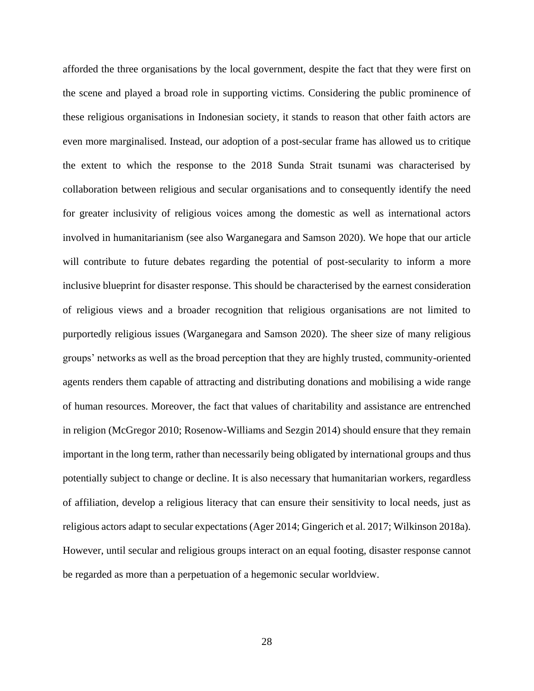afforded the three organisations by the local government, despite the fact that they were first on the scene and played a broad role in supporting victims. Considering the public prominence of these religious organisations in Indonesian society, it stands to reason that other faith actors are even more marginalised. Instead, our adoption of a post-secular frame has allowed us to critique the extent to which the response to the 2018 Sunda Strait tsunami was characterised by collaboration between religious and secular organisations and to consequently identify the need for greater inclusivity of religious voices among the domestic as well as international actors involved in humanitarianism (see also Warganegara and Samson 2020). We hope that our article will contribute to future debates regarding the potential of post-secularity to inform a more inclusive blueprint for disaster response. This should be characterised by the earnest consideration of religious views and a broader recognition that religious organisations are not limited to purportedly religious issues (Warganegara and Samson 2020). The sheer size of many religious groups' networks as well as the broad perception that they are highly trusted, community-oriented agents renders them capable of attracting and distributing donations and mobilising a wide range of human resources. Moreover, the fact that values of charitability and assistance are entrenched in religion (McGregor 2010; Rosenow-Williams and Sezgin 2014) should ensure that they remain important in the long term, rather than necessarily being obligated by international groups and thus potentially subject to change or decline. It is also necessary that humanitarian workers, regardless of affiliation, develop a religious literacy that can ensure their sensitivity to local needs, just as religious actors adapt to secular expectations (Ager 2014; Gingerich et al. 2017; Wilkinson 2018a). However, until secular and religious groups interact on an equal footing, disaster response cannot be regarded as more than a perpetuation of a hegemonic secular worldview.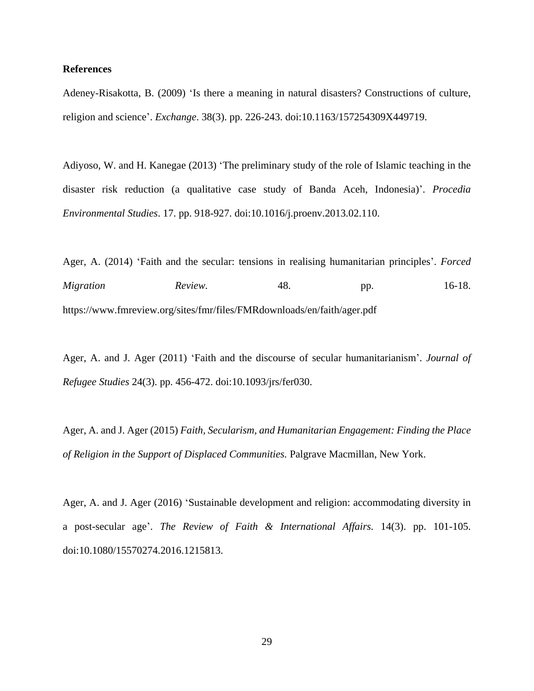## **References**

Adeney-Risakotta, B. (2009) 'Is there a meaning in natural disasters? Constructions of culture, religion and science'. *Exchange*. 38(3). pp. 226-243. doi:10.1163/157254309X449719.

Adiyoso, W. and H. Kanegae (2013) 'The preliminary study of the role of Islamic teaching in the disaster risk reduction (a qualitative case study of Banda Aceh, Indonesia)'. *Procedia Environmental Studies*. 17. pp. 918-927. doi:10.1016/j.proenv.2013.02.110.

Ager, A. (2014) 'Faith and the secular: tensions in realising humanitarian principles'. *Forced Migration Review.* 48. pp. 16-18. https://www.fmreview.org/sites/fmr/files/FMRdownloads/en/faith/ager.pdf

Ager, A. and J. Ager (2011) 'Faith and the discourse of secular humanitarianism'. *Journal of Refugee Studies* 24(3). pp. 456-472. doi:10.1093/jrs/fer030.

Ager, A. and J. Ager (2015) *Faith, Secularism, and Humanitarian Engagement: Finding the Place of Religion in the Support of Displaced Communities.* Palgrave Macmillan, New York.

Ager, A. and J. Ager (2016) 'Sustainable development and religion: accommodating diversity in a post-secular age'. *The Review of Faith & International Affairs.* 14(3). pp. 101-105. doi:10.1080/15570274.2016.1215813.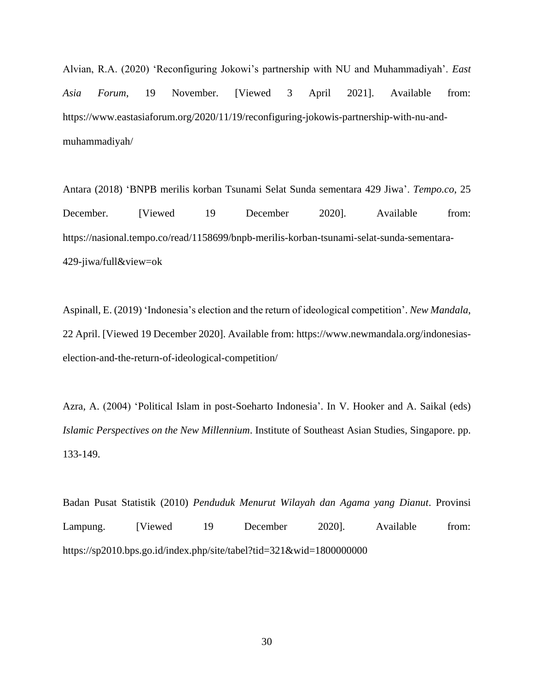Alvian, R.A. (2020) 'Reconfiguring Jokowi's partnership with NU and Muhammadiyah'. *East Asia Forum*, 19 November. [Viewed 3 April 2021]. Available from: https://www.eastasiaforum.org/2020/11/19/reconfiguring-jokowis-partnership-with-nu-andmuhammadiyah/

Antara (2018) 'BNPB merilis korban Tsunami Selat Sunda sementara 429 Jiwa'. *Tempo.co*, 25 December. [Viewed 19 December 2020]. Available from: https://nasional.tempo.co/read/1158699/bnpb-merilis-korban-tsunami-selat-sunda-sementara-429-jiwa/full&view=ok

Aspinall, E. (2019) 'Indonesia's election and the return of ideological competition'. *New Mandala*, 22 April. [Viewed 19 December 2020]. Available from: https://www.newmandala.org/indonesiaselection-and-the-return-of-ideological-competition/

Azra, A. (2004) 'Political Islam in post-Soeharto Indonesia'. In V. Hooker and A. Saikal (eds) *Islamic Perspectives on the New Millennium*. Institute of Southeast Asian Studies, Singapore. pp. 133-149.

Badan Pusat Statistik (2010) *Penduduk Menurut Wilayah dan Agama yang Dianut*. Provinsi Lampung. [Viewed 19 December 2020]. Available from: https://sp2010.bps.go.id/index.php/site/tabel?tid=321&wid=1800000000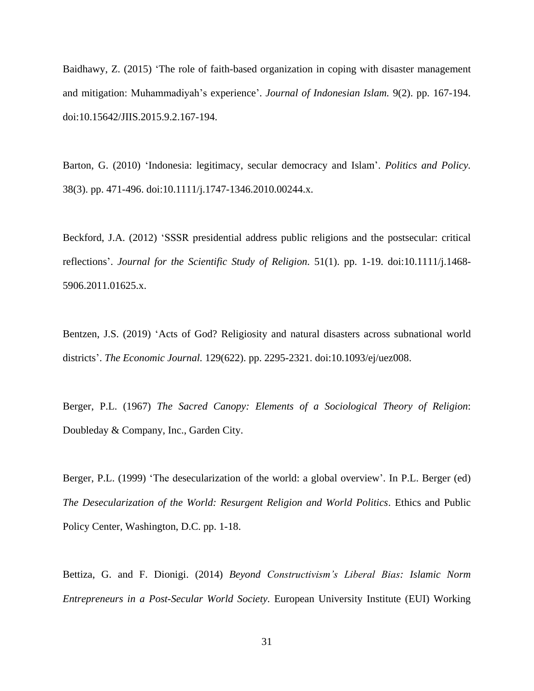Baidhawy, Z. (2015) 'The role of faith-based organization in coping with disaster management and mitigation: Muhammadiyah's experience'. *Journal of Indonesian Islam.* 9(2). pp. 167-194. doi:10.15642/JIIS.2015.9.2.167-194.

Barton, G. (2010) 'Indonesia: legitimacy, secular democracy and Islam'. *Politics and Policy.* 38(3). pp. 471-496. doi:10.1111/j.1747-1346.2010.00244.x.

Beckford, J.A. (2012) 'SSSR presidential address public religions and the postsecular: critical reflections'. *Journal for the Scientific Study of Religion.* 51(1). pp. 1-19. doi:10.1111/j.1468- 5906.2011.01625.x.

Bentzen, J.S. (2019) 'Acts of God? Religiosity and natural disasters across subnational world districts'. *The Economic Journal.* 129(622). pp. 2295-2321. doi:10.1093/ej/uez008.

Berger, P.L. (1967) *The Sacred Canopy: Elements of a Sociological Theory of Religion*: Doubleday & Company, Inc., Garden City.

Berger, P.L. (1999) 'The desecularization of the world: a global overview'. In P.L. Berger (ed) *The Desecularization of the World: Resurgent Religion and World Politics*. Ethics and Public Policy Center, Washington, D.C. pp. 1-18.

Bettiza, G. and F. Dionigi. (2014) *Beyond Constructivism's Liberal Bias: Islamic Norm Entrepreneurs in a Post-Secular World Society.* European University Institute (EUI) Working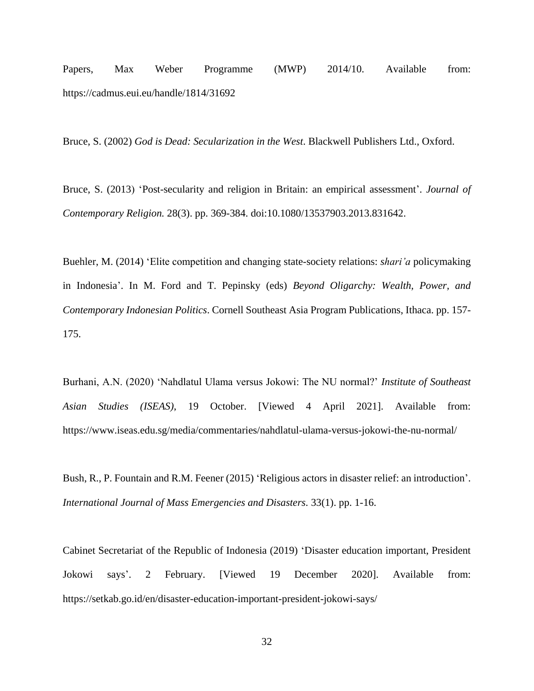Papers, Max Weber Programme (MWP) 2014/10. Available from: https://cadmus.eui.eu/handle/1814/31692

Bruce, S. (2002) *God is Dead: Secularization in the West*. Blackwell Publishers Ltd., Oxford.

Bruce, S. (2013) 'Post-secularity and religion in Britain: an empirical assessment'. *Journal of Contemporary Religion.* 28(3). pp. 369-384. doi:10.1080/13537903.2013.831642.

Buehler, M. (2014) 'Elite competition and changing state-society relations: *shari'a* policymaking in Indonesia'. In M. Ford and T. Pepinsky (eds) *Beyond Oligarchy: Wealth, Power, and Contemporary Indonesian Politics*. Cornell Southeast Asia Program Publications, Ithaca. pp. 157- 175.

Burhani, A.N. (2020) 'Nahdlatul Ulama versus Jokowi: The NU normal?' *Institute of Southeast Asian Studies (ISEAS)*, 19 October. [Viewed 4 April 2021]. Available from: https://www.iseas.edu.sg/media/commentaries/nahdlatul-ulama-versus-jokowi-the-nu-normal/

Bush, R., P. Fountain and R.M. Feener (2015) 'Religious actors in disaster relief: an introduction'. *International Journal of Mass Emergencies and Disasters.* 33(1). pp. 1-16.

Cabinet Secretariat of the Republic of Indonesia (2019) 'Disaster education important, President Jokowi says'. 2 February. [Viewed 19 December 2020]. Available from: https://setkab.go.id/en/disaster-education-important-president-jokowi-says/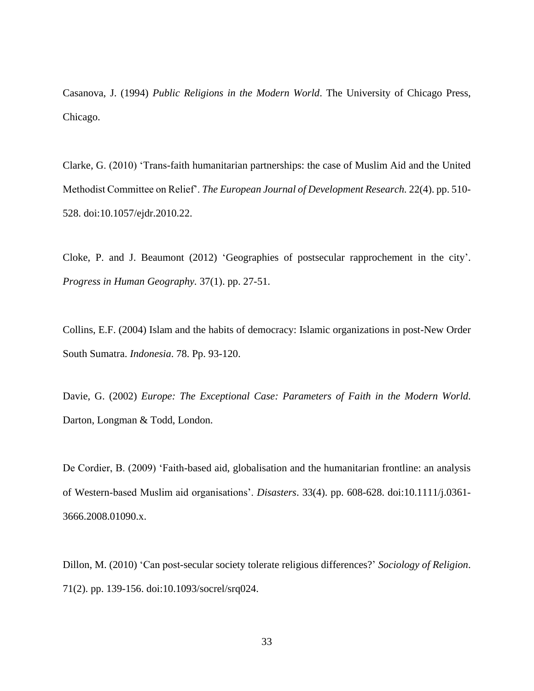Casanova, J. (1994) *Public Religions in the Modern World*. The University of Chicago Press, Chicago.

Clarke, G. (2010) 'Trans-faith humanitarian partnerships: the case of Muslim Aid and the United Methodist Committee on Relief'. *The European Journal of Development Research.* 22(4). pp. 510- 528. doi:10.1057/ejdr.2010.22.

Cloke, P. and J. Beaumont (2012) 'Geographies of postsecular rapprochement in the city'. *Progress in Human Geography.* 37(1). pp. 27-51.

Collins, E.F. (2004) Islam and the habits of democracy: Islamic organizations in post-New Order South Sumatra. *Indonesia*. 78. Pp. 93-120.

Davie, G. (2002) *Europe: The Exceptional Case: Parameters of Faith in the Modern World*. Darton, Longman & Todd, London.

De Cordier, B. (2009) 'Faith-based aid, globalisation and the humanitarian frontline: an analysis of Western-based Muslim aid organisations'. *Disasters*. 33(4). pp. 608-628. doi:10.1111/j.0361- 3666.2008.01090.x.

Dillon, M. (2010) 'Can post-secular society tolerate religious differences?' *Sociology of Religion*. 71(2). pp. 139-156. doi:10.1093/socrel/srq024.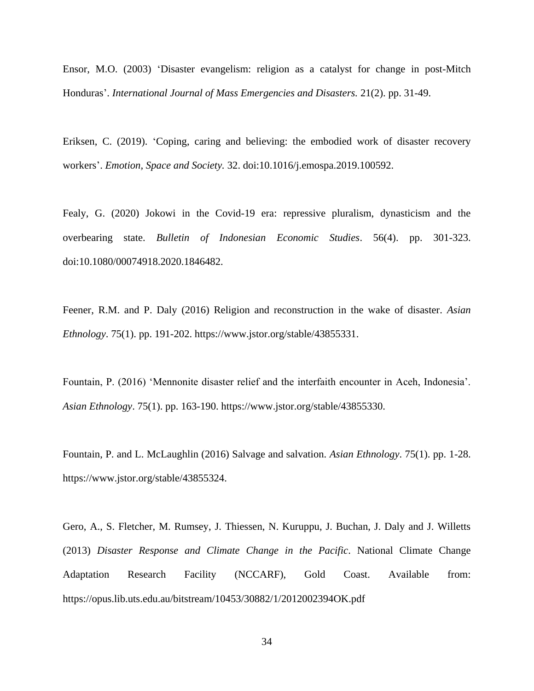Ensor, M.O. (2003) 'Disaster evangelism: religion as a catalyst for change in post-Mitch Honduras'. *International Journal of Mass Emergencies and Disasters.* 21(2). pp. 31-49.

Eriksen, C. (2019). 'Coping, caring and believing: the embodied work of disaster recovery workers'. *Emotion, Space and Society.* 32. doi:10.1016/j.emospa.2019.100592.

Fealy, G. (2020) Jokowi in the Covid-19 era: repressive pluralism, dynasticism and the overbearing state. *Bulletin of Indonesian Economic Studies*. 56(4). pp. 301-323. doi:10.1080/00074918.2020.1846482.

Feener, R.M. and P. Daly (2016) Religion and reconstruction in the wake of disaster. *Asian Ethnology*. 75(1). pp. 191-202. https://www.jstor.org/stable/43855331.

Fountain, P. (2016) 'Mennonite disaster relief and the interfaith encounter in Aceh, Indonesia'. *Asian Ethnology*. 75(1). pp. 163-190. https://www.jstor.org/stable/43855330.

Fountain, P. and L. McLaughlin (2016) Salvage and salvation. *Asian Ethnology*. 75(1). pp. 1-28. https://www.jstor.org/stable/43855324.

Gero, A., S. Fletcher, M. Rumsey, J. Thiessen, N. Kuruppu, J. Buchan, J. Daly and J. Willetts (2013) *Disaster Response and Climate Change in the Pacific*. National Climate Change Adaptation Research Facility (NCCARF), Gold Coast. Available from: https://opus.lib.uts.edu.au/bitstream/10453/30882/1/2012002394OK.pdf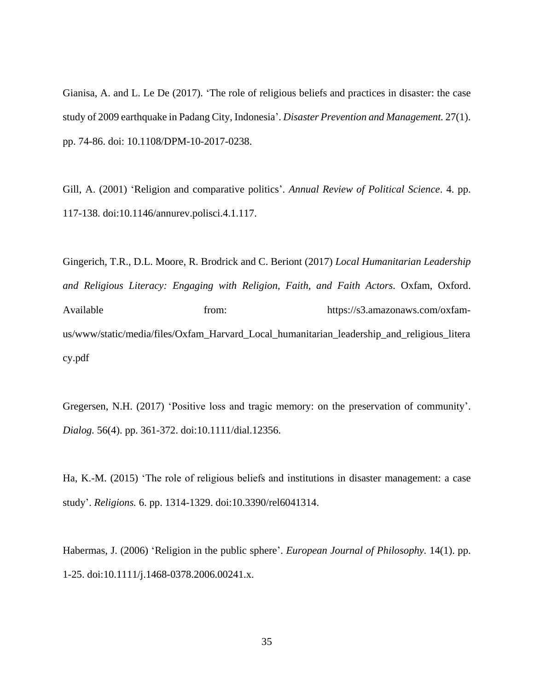Gianisa, A. and L. Le De (2017). 'The role of religious beliefs and practices in disaster: the case study of 2009 earthquake in Padang City, Indonesia'. *Disaster Prevention and Management.* 27(1). pp. 74-86. doi: 10.1108/DPM-10-2017-0238.

Gill, A. (2001) 'Religion and comparative politics'. *Annual Review of Political Science*. 4. pp. 117-138. doi:10.1146/annurev.polisci.4.1.117.

Gingerich, T.R., D.L. Moore, R. Brodrick and C. Beriont (2017) *Local Humanitarian Leadership and Religious Literacy: Engaging with Religion, Faith, and Faith Actors*. Oxfam, Oxford. Available from: from: https://s3.amazonaws.com/oxfamus/www/static/media/files/Oxfam\_Harvard\_Local\_humanitarian\_leadership\_and\_religious\_litera cy.pdf

Gregersen, N.H. (2017) 'Positive loss and tragic memory: on the preservation of community'. *Dialog.* 56(4). pp. 361-372. doi:10.1111/dial.12356.

Ha, K.-M. (2015) 'The role of religious beliefs and institutions in disaster management: a case study'. *Religions.* 6. pp. 1314-1329. doi:10.3390/rel6041314.

Habermas, J. (2006) 'Religion in the public sphere'. *European Journal of Philosophy.* 14(1). pp. 1-25. doi:10.1111/j.1468-0378.2006.00241.x.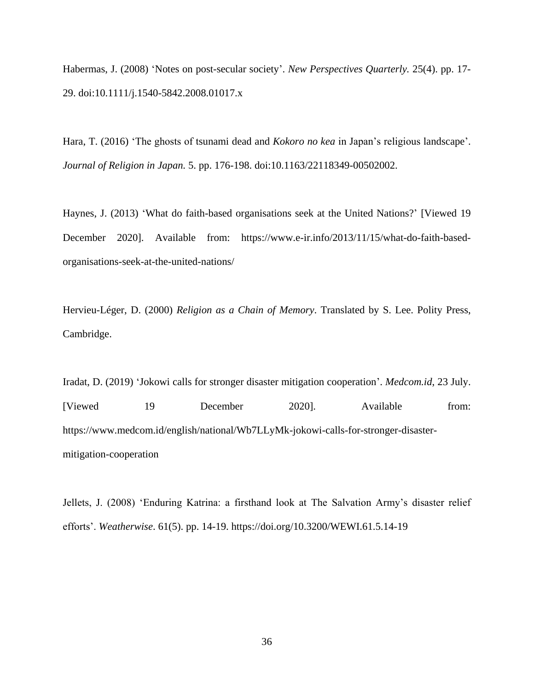Habermas, J. (2008) 'Notes on post-secular society'. *New Perspectives Quarterly.* 25(4). pp. 17- 29. doi:10.1111/j.1540-5842.2008.01017.x

Hara, T. (2016) 'The ghosts of tsunami dead and *Kokoro no kea* in Japan's religious landscape'. *Journal of Religion in Japan.* 5. pp. 176-198. doi:10.1163/22118349-00502002.

Haynes, J. (2013) 'What do faith-based organisations seek at the United Nations?' [Viewed 19 December 2020]. Available from: https://www.e-ir.info/2013/11/15/what-do-faith-basedorganisations-seek-at-the-united-nations/

Hervieu-Léger, D. (2000) *Religion as a Chain of Memory*. Translated by S. Lee. Polity Press, Cambridge.

Iradat, D. (2019) 'Jokowi calls for stronger disaster mitigation cooperation'. *Medcom.id*, 23 July. [Viewed 19 December 2020]. Available from: https://www.medcom.id/english/national/Wb7LLyMk-jokowi-calls-for-stronger-disastermitigation-cooperation

Jellets, J. (2008) 'Enduring Katrina: a firsthand look at The Salvation Army's disaster relief efforts'. *Weatherwise*. 61(5). pp. 14-19. https://doi.org/10.3200/WEWI.61.5.14-19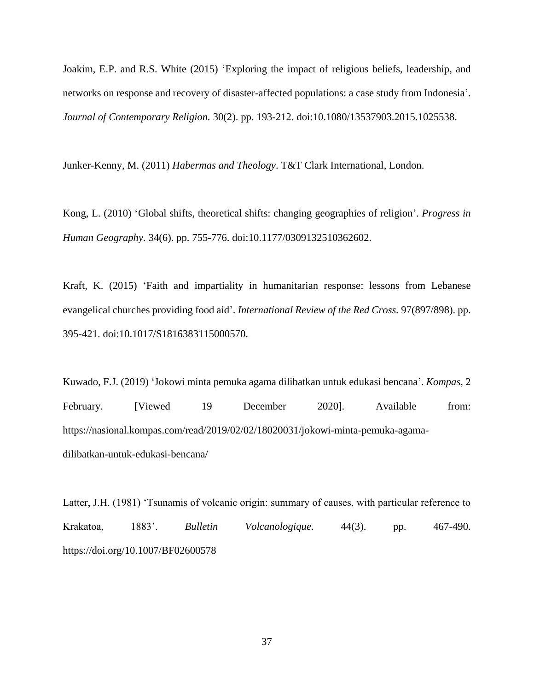Joakim, E.P. and R.S. White (2015) 'Exploring the impact of religious beliefs, leadership, and networks on response and recovery of disaster-affected populations: a case study from Indonesia'. *Journal of Contemporary Religion.* 30(2). pp. 193-212. doi:10.1080/13537903.2015.1025538.

Junker-Kenny, M. (2011) *Habermas and Theology*. T&T Clark International, London.

Kong, L. (2010) 'Global shifts, theoretical shifts: changing geographies of religion'. *Progress in Human Geography.* 34(6). pp. 755-776. doi:10.1177/0309132510362602.

Kraft, K. (2015) 'Faith and impartiality in humanitarian response: lessons from Lebanese evangelical churches providing food aid'. *International Review of the Red Cross.* 97(897/898). pp. 395-421. doi:10.1017/S1816383115000570.

Kuwado, F.J. (2019) 'Jokowi minta pemuka agama dilibatkan untuk edukasi bencana'. *Kompas*, 2 February. [Viewed 19 December 2020]. Available from: https://nasional.kompas.com/read/2019/02/02/18020031/jokowi-minta-pemuka-agamadilibatkan-untuk-edukasi-bencana/

Latter, J.H. (1981) 'Tsunamis of volcanic origin: summary of causes, with particular reference to Krakatoa, 1883'. *Bulletin Volcanologique*. 44(3). pp. 467-490. https://doi.org/10.1007/BF02600578

37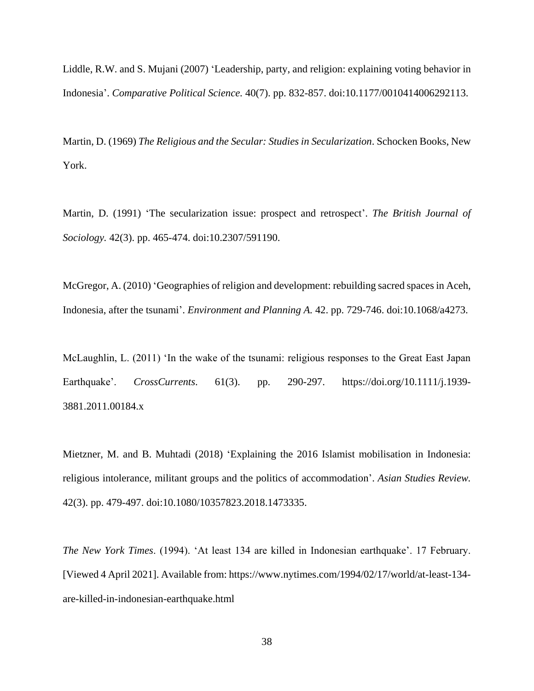Liddle, R.W. and S. Mujani (2007) 'Leadership, party, and religion: explaining voting behavior in Indonesia'. *Comparative Political Science.* 40(7). pp. 832-857. doi:10.1177/0010414006292113.

Martin, D. (1969) *The Religious and the Secular: Studies in Secularization*. Schocken Books, New York.

Martin, D. (1991) 'The secularization issue: prospect and retrospect'. *The British Journal of Sociology.* 42(3). pp. 465-474. doi:10.2307/591190.

McGregor, A. (2010) 'Geographies of religion and development: rebuilding sacred spaces in Aceh, Indonesia, after the tsunami'. *Environment and Planning A.* 42. pp. 729-746. doi:10.1068/a4273.

McLaughlin, L. (2011) 'In the wake of the tsunami: religious responses to the Great East Japan Earthquake'. *CrossCurrents*. 61(3). pp. 290-297. https://doi.org/10.1111/j.1939- 3881.2011.00184.x

Mietzner, M. and B. Muhtadi (2018) 'Explaining the 2016 Islamist mobilisation in Indonesia: religious intolerance, militant groups and the politics of accommodation'. *Asian Studies Review.* 42(3). pp. 479-497. doi:10.1080/10357823.2018.1473335.

*The New York Times*. (1994). 'At least 134 are killed in Indonesian earthquake'. 17 February. [Viewed 4 April 2021]. Available from: https://www.nytimes.com/1994/02/17/world/at-least-134 are-killed-in-indonesian-earthquake.html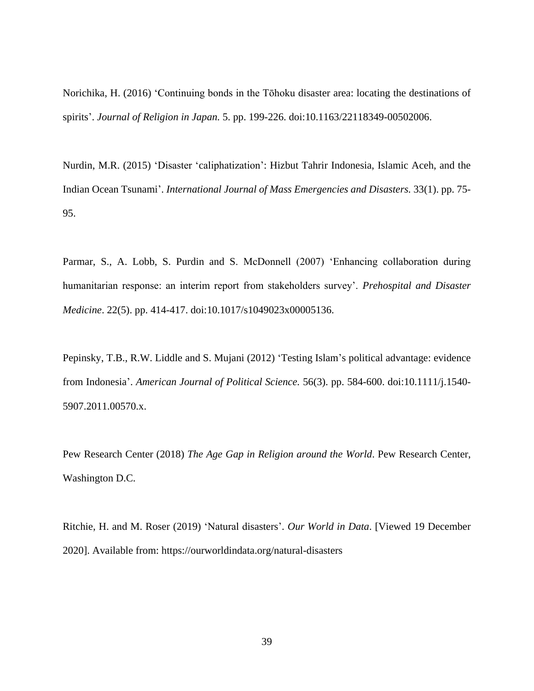Norichika, H. (2016) 'Continuing bonds in the Tōhoku disaster area: locating the destinations of spirits'. *Journal of Religion in Japan.* 5. pp. 199-226. doi:10.1163/22118349-00502006.

Nurdin, M.R. (2015) 'Disaster 'caliphatization': Hizbut Tahrir Indonesia, Islamic Aceh, and the Indian Ocean Tsunami'. *International Journal of Mass Emergencies and Disasters.* 33(1). pp. 75- 95.

Parmar, S., A. Lobb, S. Purdin and S. McDonnell (2007) 'Enhancing collaboration during humanitarian response: an interim report from stakeholders survey'. *Prehospital and Disaster Medicine*. 22(5). pp. 414-417. doi:10.1017/s1049023x00005136.

Pepinsky, T.B., R.W. Liddle and S. Mujani (2012) 'Testing Islam's political advantage: evidence from Indonesia'. *American Journal of Political Science.* 56(3). pp. 584-600. doi:10.1111/j.1540- 5907.2011.00570.x.

Pew Research Center (2018) *The Age Gap in Religion around the World*. Pew Research Center, Washington D.C.

Ritchie, H. and M. Roser (2019) 'Natural disasters'. *Our World in Data*. [Viewed 19 December 2020]. Available from: https://ourworldindata.org/natural-disasters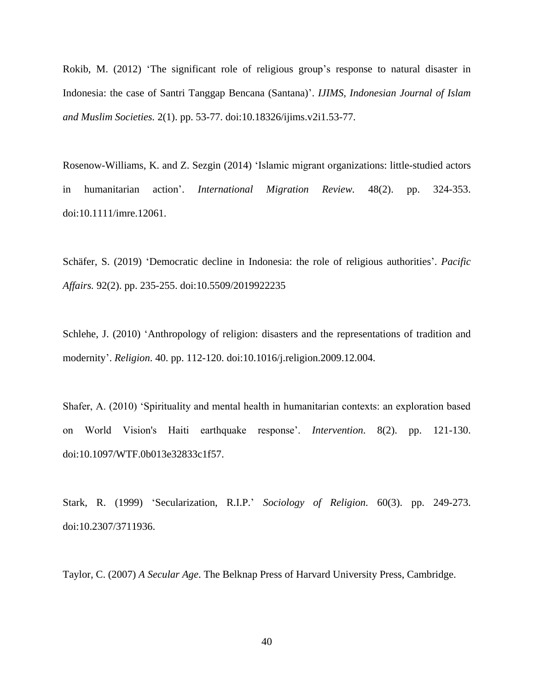Rokib, M. (2012) 'The significant role of religious group's response to natural disaster in Indonesia: the case of Santri Tanggap Bencana (Santana)'. *IJIMS, Indonesian Journal of Islam and Muslim Societies.* 2(1). pp. 53-77. doi:10.18326/ijims.v2i1.53-77.

Rosenow-Williams, K. and Z. Sezgin (2014) 'Islamic migrant organizations: little-studied actors in humanitarian action'. *International Migration Review.* 48(2). pp. 324-353. doi:10.1111/imre.12061.

Schäfer, S. (2019) 'Democratic decline in Indonesia: the role of religious authorities'. *Pacific Affairs.* 92(2). pp. 235-255. doi:10.5509/2019922235

Schlehe, J. (2010) 'Anthropology of religion: disasters and the representations of tradition and modernity'. *Religion*. 40. pp. 112-120. doi:10.1016/j.religion.2009.12.004.

Shafer, A. (2010) 'Spirituality and mental health in humanitarian contexts: an exploration based on World Vision's Haiti earthquake response'. *Intervention*. 8(2). pp. 121-130. doi:10.1097/WTF.0b013e32833c1f57.

Stark, R. (1999) 'Secularization, R.I.P.' *Sociology of Religion.* 60(3). pp. 249-273. doi:10.2307/3711936.

Taylor, C. (2007) *A Secular Age*. The Belknap Press of Harvard University Press, Cambridge.

40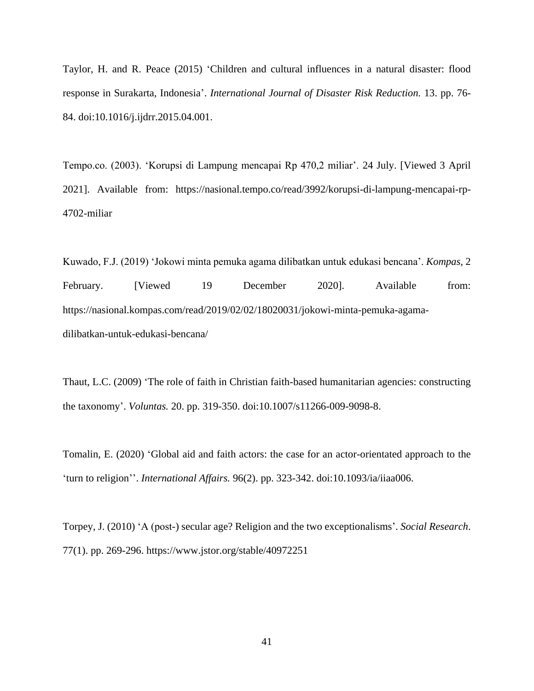Taylor, H. and R. Peace (2015) 'Children and cultural influences in a natural disaster: flood response in Surakarta, Indonesia'. *International Journal of Disaster Risk Reduction.* 13. pp. 76- 84. doi:10.1016/j.ijdrr.2015.04.001.

Tempo.co. (2003). 'Korupsi di Lampung mencapai Rp 470,2 miliar'. 24 July. [Viewed 3 April 2021]. Available from: https://nasional.tempo.co/read/3992/korupsi-di-lampung-mencapai-rp-4702-miliar

Kuwado, F.J. (2019) 'Jokowi minta pemuka agama dilibatkan untuk edukasi bencana'. *Kompas*, 2 February. [Viewed 19 December 2020]. Available from: https://nasional.kompas.com/read/2019/02/02/18020031/jokowi-minta-pemuka-agamadilibatkan-untuk-edukasi-bencana/

Thaut, L.C. (2009) 'The role of faith in Christian faith-based humanitarian agencies: constructing the taxonomy'. *Voluntas.* 20. pp. 319-350. doi:10.1007/s11266-009-9098-8.

Tomalin, E. (2020) 'Global aid and faith actors: the case for an actor-orientated approach to the 'turn to religion''. *International Affairs.* 96(2). pp. 323-342. doi:10.1093/ia/iiaa006.

Torpey, J. (2010) 'A (post-) secular age? Religion and the two exceptionalisms'. *Social Research*. 77(1). pp. 269-296. https://www.jstor.org/stable/40972251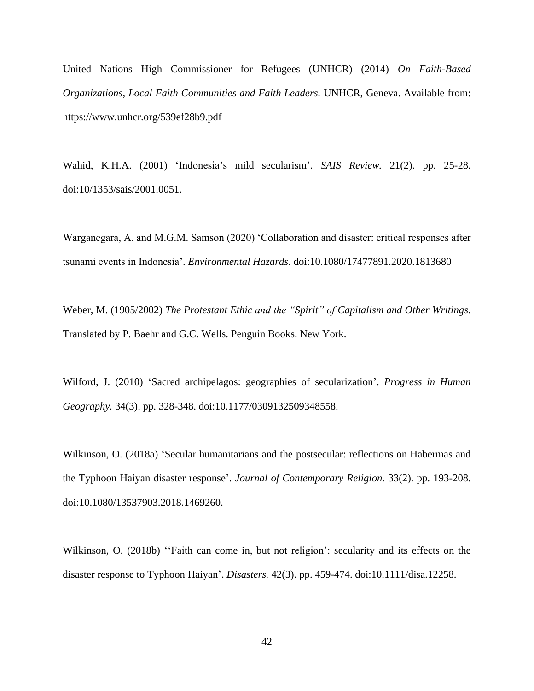United Nations High Commissioner for Refugees (UNHCR) (2014) *On Faith-Based Organizations, Local Faith Communities and Faith Leaders.* UNHCR, Geneva. Available from: https://www.unhcr.org/539ef28b9.pdf

Wahid, K.H.A. (2001) 'Indonesia's mild secularism'. *SAIS Review.* 21(2). pp. 25-28. doi:10/1353/sais/2001.0051.

Warganegara, A. and M.G.M. Samson (2020) 'Collaboration and disaster: critical responses after tsunami events in Indonesia'. *Environmental Hazards*. doi:10.1080/17477891.2020.1813680

Weber, M. (1905/2002) *The Protestant Ethic and the "Spirit" of Capitalism and Other Writings*. Translated by P. Baehr and G.C. Wells. Penguin Books. New York.

Wilford, J. (2010) 'Sacred archipelagos: geographies of secularization'. *Progress in Human Geography.* 34(3). pp. 328-348. doi:10.1177/0309132509348558.

Wilkinson, O. (2018a) 'Secular humanitarians and the postsecular: reflections on Habermas and the Typhoon Haiyan disaster response'. *Journal of Contemporary Religion.* 33(2). pp. 193-208. doi:10.1080/13537903.2018.1469260.

Wilkinson, O. (2018b) "Faith can come in, but not religion": secularity and its effects on the disaster response to Typhoon Haiyan'. *Disasters.* 42(3). pp. 459-474. doi:10.1111/disa.12258.